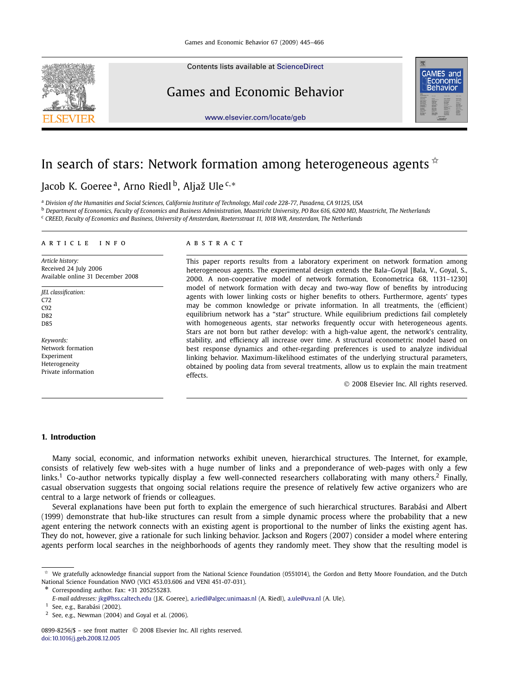Contents lists available at [ScienceDirect](http://www.ScienceDirect.com/)

# Games and Economic Behavior



[www.elsevier.com/locate/geb](http://www.elsevier.com/locate/geb)

# In search of stars: Network formation among heterogeneous agents  $\dot{\mathbf{x}}$

## Jacob K. Goeree a, Arno Riedl b, Aljaž Ule <sup>c</sup>*,*<sup>∗</sup>

<sup>a</sup> *Division of the Humanities and Social Sciences, California Institute of Technology, Mail code 228-77, Pasadena, CA 91125, USA*

<sup>b</sup> *Department of Economics, Faculty of Economics and Business Administration, Maastricht University, PO Box 616, 6200 MD, Maastricht, The Netherlands*

<sup>c</sup> *CREED, Faculty of Economics and Business, University of Amsterdam, Roetersstraat 11, 1018 WB, Amsterdam, The Netherlands*

#### article info abstract

*Article history:* Received 24 July 2006 Available online 31 December 2008

*JEL classification:* C72 C92 D82 D85

*Keywords:* Network formation Experiment Heterogeneity Private information

This paper reports results from a laboratory experiment on network formation among heterogeneous agents. The experimental design extends the Bala–Goyal [Bala, V., Goyal, S., 2000. A non-cooperative model of network formation, Econometrica 68, 1131–1230] model of network formation with decay and two-way flow of benefits by introducing agents with lower linking costs or higher benefits to others. Furthermore, agents' types may be common knowledge or private information. In all treatments, the (efficient) equilibrium network has a "star" structure. While equilibrium predictions fail completely with homogeneous agents, star networks frequently occur with heterogeneous agents. Stars are not born but rather develop: with a high-value agent, the network's centrality, stability, and efficiency all increase over time. A structural econometric model based on best response dynamics and other-regarding preferences is used to analyze individual linking behavior. Maximum-likelihood estimates of the underlying structural parameters, obtained by pooling data from several treatments, allow us to explain the main treatment effects.

© 2008 Elsevier Inc. All rights reserved.

#### **1. Introduction**

Many social, economic, and information networks exhibit uneven, hierarchical structures. The Internet, for example, consists of relatively few web-sites with a huge number of links and a preponderance of web-pages with only a few links.<sup>1</sup> Co-author networks typically display a few well-connected researchers collaborating with many others.<sup>2</sup> Finally, casual observation suggests that ongoing social relations require the presence of relatively few active organizers who are central to a large network of friends or colleagues.

Several explanations have been put forth to explain the emergence of such hierarchical structures. Barabási and Albert (1999) demonstrate that hub-like structures can result from a simple dynamic process where the probability that a new agent entering the network connects with an existing agent is proportional to the number of links the existing agent has. They do not, however, give a rationale for such linking behavior. Jackson and Rogers (2007) consider a model where entering agents perform local searches in the neighborhoods of agents they randomly meet. They show that the resulting model is

\* Corresponding author. Fax: +31 205255283.

 $1$  See, e.g., Barabási (2002).

 $*$  We gratefully acknowledge financial support from the National Science Foundation (0551014), the Gordon and Betty Moore Foundation, and the Dutch National Science Foundation NWO (VICI 453.03.606 and VENI 451-07-031).

*E-mail addresses:* [jkg@hss.caltech.edu](mailto:jkg@hss.caltech.edu) (J.K. Goeree), [a.riedl@algec.unimaas.nl](mailto:a.riedl@algec.unimaas.nl) (A. Riedl), [a.ule@uva.nl](mailto:a.ule@uva.nl) (A. Ule).

 $2$  See, e.g., Newman (2004) and Goyal et al. (2006).

<sup>0899-8256/\$ –</sup> see front matter © 2008 Elsevier Inc. All rights reserved. [doi:10.1016/j.geb.2008.12.005](http://dx.doi.org/10.1016/j.geb.2008.12.005)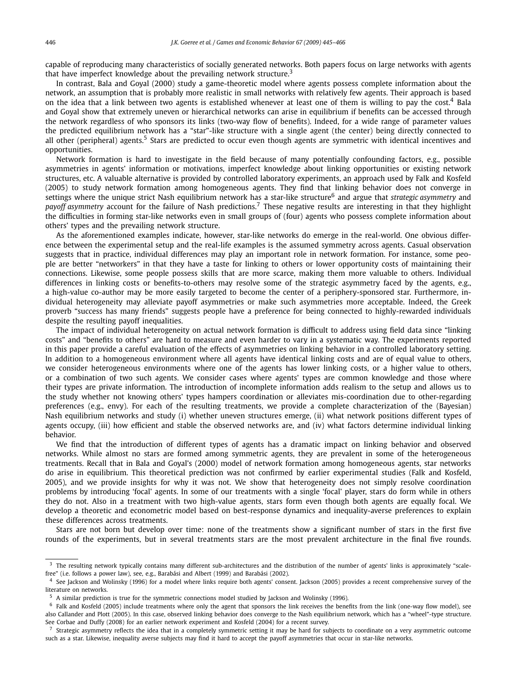capable of reproducing many characteristics of socially generated networks. Both papers focus on large networks with agents that have imperfect knowledge about the prevailing network structure.<sup>3</sup>

In contrast, Bala and Goyal (2000) study a game-theoretic model where agents possess complete information about the network, an assumption that is probably more realistic in small networks with relatively few agents. Their approach is based on the idea that a link between two agents is established whenever at least one of them is willing to pay the cost.<sup>4</sup> Bala and Goyal show that extremely uneven or hierarchical networks can arise in equilibrium if benefits can be accessed through the network regardless of who sponsors its links (two-way flow of benefits). Indeed, for a wide range of parameter values the predicted equilibrium network has a "star"-like structure with a single agent (the center) being directly connected to all other (peripheral) agents.<sup>5</sup> Stars are predicted to occur even though agents are symmetric with identical incentives and opportunities.

Network formation is hard to investigate in the field because of many potentially confounding factors, e.g., possible asymmetries in agents' information or motivations, imperfect knowledge about linking opportunities or existing network structures, etc. A valuable alternative is provided by controlled laboratory experiments, an approach used by Falk and Kosfeld (2005) to study network formation among homogeneous agents. They find that linking behavior does not converge in settings where the unique strict Nash equilibrium network has a star-like structure<sup>6</sup> and argue that *strategic asymmetry* and *payoff asymmetry* account for the failure of Nash predictions.<sup>7</sup> These negative results are interesting in that they highlight the difficulties in forming star-like networks even in small groups of (four) agents who possess complete information about others' types and the prevailing network structure.

As the aforementioned examples indicate, however, star-like networks do emerge in the real-world. One obvious difference between the experimental setup and the real-life examples is the assumed symmetry across agents. Casual observation suggests that in practice, individual differences may play an important role in network formation. For instance, some people are better "networkers" in that they have a taste for linking to others or lower opportunity costs of maintaining their connections. Likewise, some people possess skills that are more scarce, making them more valuable to others. Individual differences in linking costs or benefits-to-others may resolve some of the strategic asymmetry faced by the agents, e.g., a high-value co-author may be more easily targeted to become the center of a periphery-sponsored star. Furthermore, individual heterogeneity may alleviate payoff asymmetries or make such asymmetries more acceptable. Indeed, the Greek proverb "success has many friends" suggests people have a preference for being connected to highly-rewarded individuals despite the resulting payoff inequalities.

The impact of individual heterogeneity on actual network formation is difficult to address using field data since "linking costs" and "benefits to others" are hard to measure and even harder to vary in a systematic way. The experiments reported in this paper provide a careful evaluation of the effects of asymmetries on linking behavior in a controlled laboratory setting. In addition to a homogeneous environment where all agents have identical linking costs and are of equal value to others, we consider heterogeneous environments where one of the agents has lower linking costs, or a higher value to others, or a combination of two such agents. We consider cases where agents' types are common knowledge and those where their types are private information. The introduction of incomplete information adds realism to the setup and allows us to the study whether not knowing others' types hampers coordination or alleviates mis-coordination due to other-regarding preferences (e.g., envy). For each of the resulting treatments, we provide a complete characterization of the (Bayesian) Nash equilibrium networks and study (i) whether uneven structures emerge, (ii) what network positions different types of agents occupy, (iii) how efficient and stable the observed networks are, and (iv) what factors determine individual linking behavior.

We find that the introduction of different types of agents has a dramatic impact on linking behavior and observed networks. While almost no stars are formed among symmetric agents, they are prevalent in some of the heterogeneous treatments. Recall that in Bala and Goyal's (2000) model of network formation among homogeneous agents, star networks do arise in equilibrium. This theoretical prediction was not confirmed by earlier experimental studies (Falk and Kosfeld, 2005), and we provide insights for why it was not. We show that heterogeneity does not simply resolve coordination problems by introducing 'focal' agents. In some of our treatments with a single 'focal' player, stars do form while in others they do not. Also in a treatment with two high-value agents, stars form even though both agents are equally focal. We develop a theoretic and econometric model based on best-response dynamics and inequality-averse preferences to explain these differences across treatments.

Stars are not born but develop over time: none of the treatments show a significant number of stars in the first five rounds of the experiments, but in several treatments stars are the most prevalent architecture in the final five rounds.

<sup>&</sup>lt;sup>3</sup> The resulting network typically contains many different sub-architectures and the distribution of the number of agents' links is approximately "scalefree" (i.e. follows a power law), see, e.g., Barabási and Albert (1999) and Barabási (2002).

<sup>&</sup>lt;sup>4</sup> See Jackson and Wolinsky (1996) for a model where links require both agents' consent. Jackson (2005) provides a recent comprehensive survey of the literature on networks.

<sup>5</sup> A similar prediction is true for the symmetric connections model studied by Jackson and Wolinsky (1996).

 $6$  Falk and Kosfeld (2005) include treatments where only the agent that sponsors the link receives the benefits from the link (one-way flow model), see also Callander and Plott (2005). In this case, observed linking behavior does converge to the Nash equilibrium network, which has a "wheel"-type structure. See Corbae and Duffy (2008) for an earlier network experiment and Kosfeld (2004) for a recent survey.

 $^7$  Strategic asymmetry reflects the idea that in a completely symmetric setting it may be hard for subjects to coordinate on a very asymmetric outcome such as a star. Likewise, inequality averse subjects may find it hard to accept the payoff asymmetries that occur in star-like networks.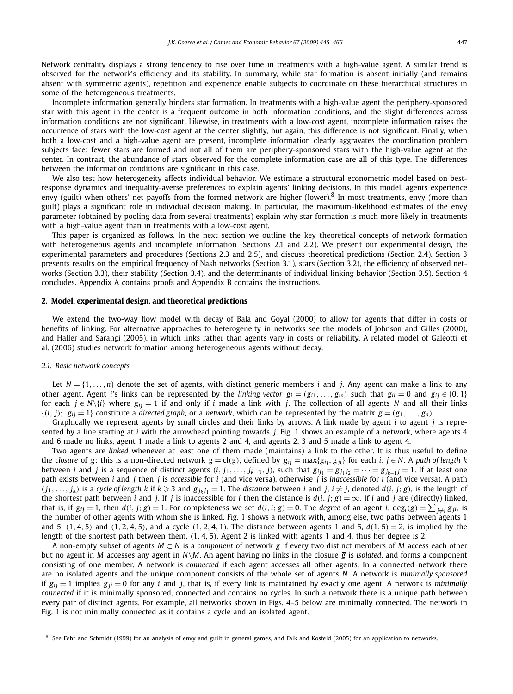Network centrality displays a strong tendency to rise over time in treatments with a high-value agent. A similar trend is observed for the network's efficiency and its stability. In summary, while star formation is absent initially (and remains absent with symmetric agents), repetition and experience enable subjects to coordinate on these hierarchical structures in some of the heterogeneous treatments.

Incomplete information generally hinders star formation. In treatments with a high-value agent the periphery-sponsored star with this agent in the center is a frequent outcome in both information conditions, and the slight differences across information conditions are not significant. Likewise, in treatments with a low-cost agent, incomplete information raises the occurrence of stars with the low-cost agent at the center slightly, but again, this difference is not significant. Finally, when both a low-cost and a high-value agent are present, incomplete information clearly aggravates the coordination problem subjects face: fewer stars are formed and not all of them are periphery-sponsored stars with the high-value agent at the center. In contrast, the abundance of stars observed for the complete information case are all of this type. The differences between the information conditions are significant in this case.

We also test how heterogeneity affects individual behavior. We estimate a structural econometric model based on bestresponse dynamics and inequality-averse preferences to explain agents' linking decisions. In this model, agents experience envy (guilt) when others' net payoffs from the formed network are higher (lower).<sup>8</sup> In most treatments, envy (more than guilt) plays a significant role in individual decision making. In particular, the maximum-likelihood estimates of the envy parameter (obtained by pooling data from several treatments) explain why star formation is much more likely in treatments with a high-value agent than in treatments with a low-cost agent.

This paper is organized as follows. In the next section we outline the key theoretical concepts of network formation with heterogeneous agents and incomplete information (Sections 2.1 and 2.2). We present our experimental design, the experimental parameters and procedures (Sections 2.3 and 2.5), and discuss theoretical predictions (Section 2.4). Section 3 presents results on the empirical frequency of Nash networks (Section 3.1), stars (Section 3.2), the efficiency of observed networks (Section 3.3), their stability (Section 3.4), and the determinants of individual linking behavior (Section 3.5). Section 4 concludes. Appendix A contains proofs and Appendix B contains the instructions.

#### **2. Model, experimental design, and theoretical predictions**

We extend the two-way flow model with decay of Bala and Goyal (2000) to allow for agents that differ in costs or benefits of linking. For alternative approaches to heterogeneity in networks see the models of Johnson and Gilles (2000), and Haller and Sarangi (2005), in which links rather than agents vary in costs or reliability. A related model of Galeotti et al. (2006) studies network formation among heterogeneous agents without decay.

#### *2.1. Basic network concepts*

Let  $N = \{1, \ldots, n\}$  denote the set of agents, with distinct generic members *i* and *j*. Any agent can make a link to any other agent. Agent *i*'s links can be represented by the *linking vector*  $g_i = (g_{i1}, \ldots, g_{in})$  such that  $g_{ii} = 0$  and  $g_{ij} \in \{0, 1\}$ for each  $j \in N\setminus\{i\}$  where  $g_{ij} = 1$  if and only if *i* made a link with *j*. The collection of all agents *N* and all their links  $\{(i, j); g_{ij} = 1\}$  constitute a *directed graph*, or a *network*, which can be represented by the matrix  $g = (g_1, \ldots, g_n)$ .

Graphically we represent agents by small circles and their links by arrows. A link made by agent *i* to agent *j* is represented by a line starting at *i* with the arrowhead pointing towards *j*. Fig. 1 shows an example of a network, where agents 4 and 6 made no links, agent 1 made a link to agents 2 and 4, and agents 2, 3 and 5 made a link to agent 4.

Two agents are *linked* whenever at least one of them made (maintains) a link to the other. It is thus useful to define the closure of g: this is a non-directed network  $\overline{g} = cl(g)$ , defined by  $\overline{g}_{ij} = max\{g_{ij}, g_{ji}\}\$  for each  $i, j \in N$ . A path of length k between *i* and *j* is a sequence of distinct agents  $(i, j_1, \ldots, j_{k-1}, j)$ , such that  $\overline{g}_{ij_1} = \overline{g}_{j_1 j_2} = \cdots = \overline{g}_{j_{k-1}} = 1$ . If at least one path exists between *i* and *j* then *j* is *accessible* for *i* (and vice versa), otherwise *j* is *inaccessible* for *i* (and vice versa). A path  $(j_1,\ldots,j_k)$  is a cycle of length k if  $k\geqslant 3$  and  $\overline{g}_{j_kj_1}=1$ . The distance between i and j,  $i\neq j$ , denoted  $d(i,j;g)$ , is the length of the shortest path between *i* and *j*. If *j* is inaccessible for *i* then the distance is  $d(i, j; g) = \infty$ . If *i* and *j* are (directly) linked, that is, if  $\bar{g}_{ij}=1$ , then  $d(i,j;g)=1$ . For completeness we set  $d(i,i;g)=0$ . The degree of an agent i,  $\deg_i(g)=\sum_{j\neq i}\overline{g}_{ji}$ , is the number of other agents with whom she is linked. Fig. 1 shows a network with, among else, two paths between agents 1 and 5,  $(1, 4, 5)$  and  $(1, 2, 4, 5)$ , and a cycle  $(1, 2, 4, 1)$ . The distance between agents 1 and 5,  $d(1, 5) = 2$ , is implied by the length of the shortest path between them, *(*1*,* 4*,* 5*)*. Agent 2 is linked with agents 1 and 4, thus her degree is 2.

A non-empty subset of agents *M* ⊂ *N* is a *component* of network *g* if every two distinct members of *M* access each other but no agent in *M* accesses any agent in *N*\*M*. An agent having no links in the closure *g* is *isolated*, and forms a component consisting of one member. A network is *connected* if each agent accesses all other agents. In a connected network there are no isolated agents and the unique component consists of the whole set of agents *N*. A network is *minimally sponsored* if  $g_{ij} = 1$  implies  $g_{ji} = 0$  for any *i* and *j*, that is, if every link is maintained by exactly one agent. A network is *minimally connected* if it is minimally sponsored, connected and contains no cycles. In such a network there is a unique path between every pair of distinct agents. For example, all networks shown in Figs. 4–5 below are minimally connected. The network in Fig. 1 is not minimally connected as it contains a cycle and an isolated agent.

<sup>&</sup>lt;sup>8</sup> See Fehr and Schmidt (1999) for an analysis of envy and guilt in general games, and Falk and Kosfeld (2005) for an application to networks.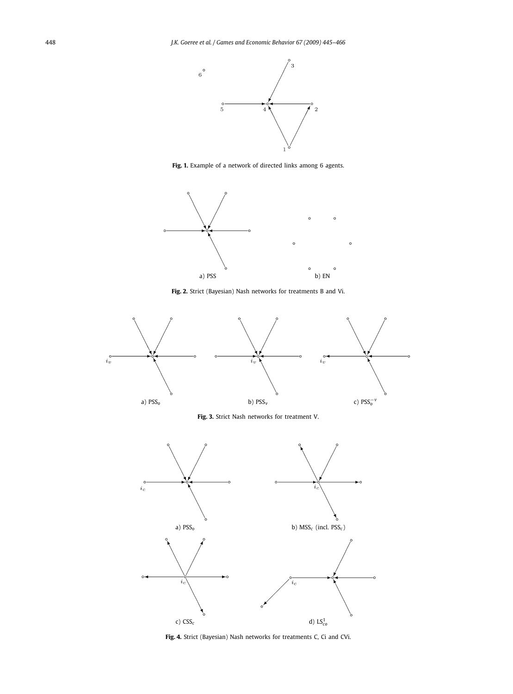

**Fig. 1.** Example of a network of directed links among 6 agents.



**Fig. 2.** Strict (Bayesian) Nash networks for treatments B and Vi.





**Fig. 4.** Strict (Bayesian) Nash networks for treatments C, Ci and CVi.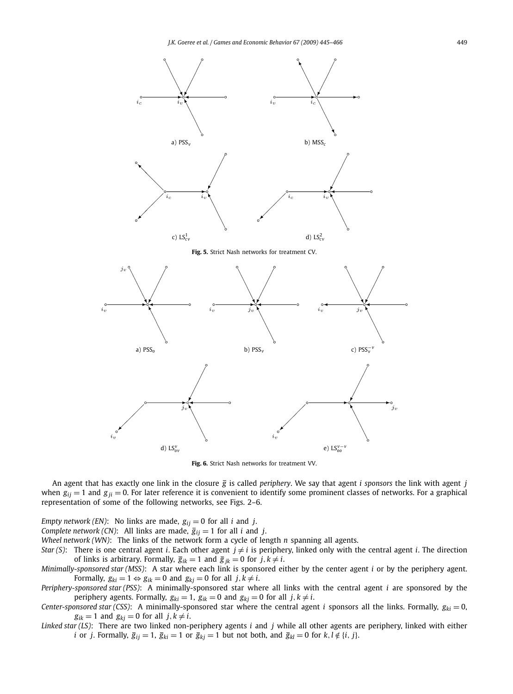

**Fig. 6.** Strict Nash networks for treatment VV.

An agent that has exactly one link in the closure *g* is called *periphery*. We say that agent *i sponsors* the link with agent *j* when  $g_{ij} = 1$  and  $g_{ji} = 0$ . For later reference it is convenient to identify some prominent classes of networks. For a graphical representation of some of the following networks, see Figs. 2–6.

*Empty network (EN)*: No links are made,  $g_{ij} = 0$  for all *i* and *j*.

*Complete network (CN)*: All links are made,  $\overline{g}_{ij} = 1$  for all *i* and *j*.

*Wheel network (WN)*: The links of the network form a cycle of length *n* spanning all agents.

*Star* (*S*): There is one central agent *i*. Each other agent  $j \neq i$  is periphery, linked only with the central agent *i*. The direction of links is arbitrary. Formally,  $\bar{g}_{ik} = 1$  and  $\bar{g}_{jk} = 0$  for  $j, k \neq i$ .

*Minimally-sponsored star (MSS)*: A star where each link is sponsored either by the center agent *i* or by the periphery agent. Formally,  $g_{ki} = 1 \Leftrightarrow g_{ik} = 0$  and  $g_{kj} = 0$  for all  $j, k \neq i$ .

*Periphery-sponsored star (PSS)*: A minimally-sponsored star where all links with the central agent *i* are sponsored by the periphery agents. Formally,  $g_{ki} = 1$ ,  $g_{ik} = 0$  and  $g_{ki} = 0$  for all  $j, k \neq i$ .

*Center-sponsored star (CSS)*: A minimally-sponsored star where the central agent *i* sponsors all the links. Formally, *gki* = 0,  $g_{ik} = 1$  and  $g_{kj} = 0$  for all  $j, k \neq i$ .

*Linked star (LS)*: There are two linked non-periphery agents *i* and *j* while all other agents are periphery, linked with either *i* or *j*. Formally,  $\overline{g}_{ij} = 1$ ,  $\overline{g}_{ki} = 1$  or  $\overline{g}_{kj} = 1$  but not both, and  $\overline{g}_{kl} = 0$  for  $k, l \notin \{i, j\}$ .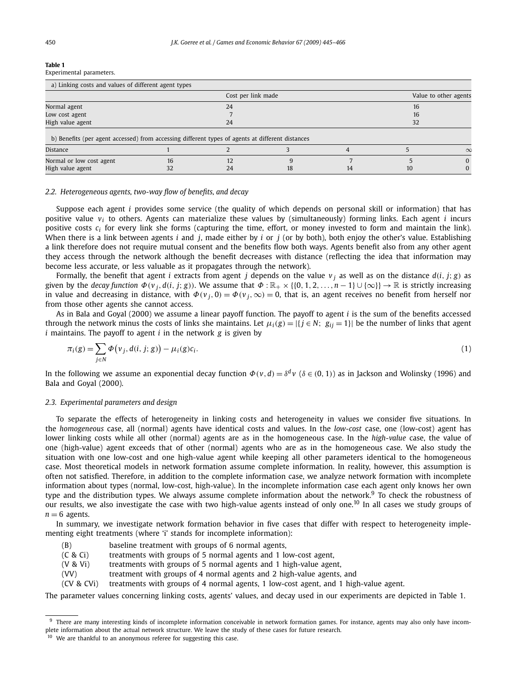#### **Table 1**

| a) Linking costs and values of different agent types                                             |    |                    |    |    |    |                       |
|--------------------------------------------------------------------------------------------------|----|--------------------|----|----|----|-----------------------|
|                                                                                                  |    | Cost per link made |    |    |    | Value to other agents |
| Normal agent                                                                                     |    | 24                 |    |    | 16 |                       |
| Low cost agent                                                                                   |    |                    |    |    | 16 |                       |
| High value agent                                                                                 |    | 24                 |    |    | 32 |                       |
| b) Benefits (per agent accessed) from accessing different types of agents at different distances |    |                    |    |    |    |                       |
| Distance                                                                                         |    |                    |    |    |    | $\propto$             |
| Normal or low cost agent                                                                         | 16 | 12                 |    |    |    |                       |
| High value agent                                                                                 | 32 | 24                 | 18 | 14 | 10 |                       |

#### *2.2. Heterogeneous agents, two-way flow of benefits, and decay*

Suppose each agent *i* provides some service (the quality of which depends on personal skill or information) that has positive value *vi* to others. Agents can materialize these values by (simultaneously) forming links. Each agent *i* incurs positive costs *ci* for every link she forms (capturing the time, effort, or money invested to form and maintain the link). When there is a link between agents *i* and *j*, made either by *i* or *j* (or by both), both enjoy the other's value. Establishing a link therefore does not require mutual consent and the benefits flow both ways. Agents benefit also from any other agent they access through the network although the benefit decreases with distance (reflecting the idea that information may become less accurate, or less valuable as it propagates through the network).

Formally, the benefit that agent *i* extracts from agent *j* depends on the value  $v_i$  as well as on the distance  $d(i, j; g)$  as given by the decay function  $\Phi(v_i, d(i, j; g))$ . We assume that  $\Phi : \mathbb{R}_+ \times \{0, 1, 2, ..., n-1\} \cup \{\infty\} \to \mathbb{R}$  is strictly increasing in value and decreasing in distance, with  $\Phi(v_i, 0) = \Phi(v_i, \infty) = 0$ , that is, an agent receives no benefit from herself nor from those other agents she cannot access.

As in Bala and Goyal (2000) we assume a linear payoff function. The payoff to agent *i* is the sum of the benefits accessed through the network minus the costs of links she maintains. Let  $\mu_i(g) = |\{j \in N; g_{ij} = 1\}|$  be the number of links that agent *i* maintains. The payoff to agent *i* in the network *g* is given by

$$
\pi_i(g) = \sum_{j \in N} \Phi(v_j, d(i, j; g)) - \mu_i(g)c_i.
$$
\n(1)

In the following we assume an exponential decay function  $\Phi(v, d) = \delta^d v$  ( $\delta \in (0, 1)$ ) as in Jackson and Wolinsky (1996) and Bala and Goyal (2000).

#### *2.3. Experimental parameters and design*

To separate the effects of heterogeneity in linking costs and heterogeneity in values we consider five situations. In the *homogeneous* case, all (normal) agents have identical costs and values. In the *low-cost* case, one (low-cost) agent has lower linking costs while all other (normal) agents are as in the homogeneous case. In the *high-value* case, the value of one (high-value) agent exceeds that of other (normal) agents who are as in the homogeneous case. We also study the situation with one low-cost and one high-value agent while keeping all other parameters identical to the homogeneous case. Most theoretical models in network formation assume complete information. In reality, however, this assumption is often not satisfied. Therefore, in addition to the complete information case, we analyze network formation with incomplete information about types (normal, low-cost, high-value). In the incomplete information case each agent only knows her own type and the distribution types. We always assume complete information about the network.<sup>9</sup> To check the robustness of our results, we also investigate the case with two high-value agents instead of only one.<sup>10</sup> In all cases we study groups of  $n = 6$  agents.

In summary, we investigate network formation behavior in five cases that differ with respect to heterogeneity implementing eight treatments (where 'i' stands for incomplete information):

- (B) baseline treatment with groups of 6 normal agents,
- (C & Ci) treatments with groups of 5 normal agents and 1 low-cost agent,
- (V & Vi) treatments with groups of 5 normal agents and 1 high-value agent,
- (VV) treatment with groups of 4 normal agents and 2 high-value agents, and
- (CV & CVi) treatments with groups of 4 normal agents, 1 low-cost agent, and 1 high-value agent.

The parameter values concerning linking costs, agents' values, and decay used in our experiments are depicted in Table 1.

<sup>&</sup>lt;sup>9</sup> There are many interesting kinds of incomplete information conceivable in network formation games. For instance, agents may also only have incomplete information about the actual network structure. We leave the study of these cases for future research.

<sup>&</sup>lt;sup>10</sup> We are thankful to an anonymous referee for suggesting this case.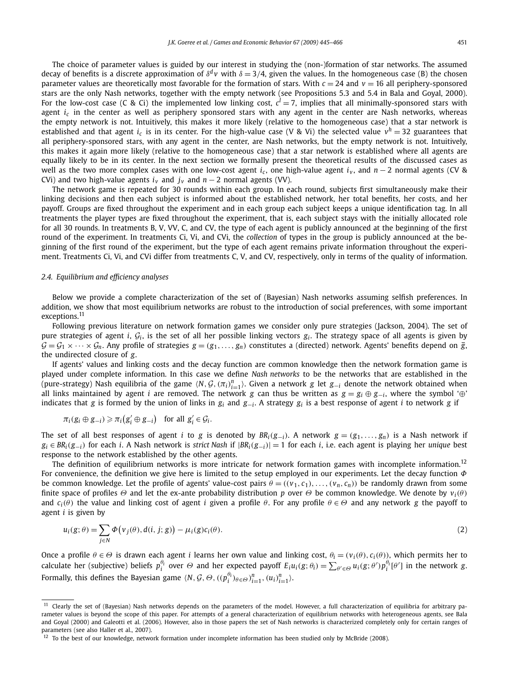The choice of parameter values is guided by our interest in studying the (non-)formation of star networks. The assumed decay of benefits is a discrete approximation of  $\delta^d v$  with  $\delta = 3/4$ , given the values. In the homogeneous case (B) the chosen parameter values are theoretically most favorable for the formation of stars. With *c* = 24 and *v* = 16 all periphery-sponsored stars are the only Nash networks, together with the empty network (see Propositions 5.3 and 5.4 in Bala and Goyal, 2000). For the low-cost case (C & Ci) the implemented low linking cost,  $c<sup>l</sup> = 7$ , implies that all minimally-sponsored stars with agent *i<sub>c</sub>* in the center as well as periphery sponsored stars with any agent in the center are Nash networks, whereas the empty network is not. Intuitively, this makes it more likely (relative to the homogeneous case) that a star network is established and that agent *i<sub>c</sub>* is in its center. For the high-value case (V & Vi) the selected value  $v^h = 32$  guarantees that all periphery-sponsored stars, with any agent in the center, are Nash networks, but the empty network is not. Intuitively, this makes it again more likely (relative to the homogeneous case) that a star network is established where all agents are equally likely to be in its center. In the next section we formally present the theoretical results of the discussed cases as well as the two more complex cases with one low-cost agent  $i_c$ , one high-value agent  $i_v$ , and  $n-2$  normal agents (CV & CVi) and two high-value agents  $i_v$  and  $j_v$  and  $n-2$  normal agents (VV).

The network game is repeated for 30 rounds within each group. In each round, subjects first simultaneously make their linking decisions and then each subject is informed about the established network, her total benefits, her costs, and her payoff. Groups are fixed throughout the experiment and in each group each subject keeps a unique identification tag. In all treatments the player types are fixed throughout the experiment, that is, each subject stays with the initially allocated role for all 30 rounds. In treatments B, V, VV, C, and CV, the type of each agent is publicly announced at the beginning of the first round of the experiment. In treatments Ci, Vi, and CVi, the *collection* of types in the group is publicly announced at the beginning of the first round of the experiment, but the type of each agent remains private information throughout the experiment. Treatments Ci, Vi, and CVi differ from treatments C, V, and CV, respectively, only in terms of the quality of information.

#### *2.4. Equilibrium and efficiency analyses*

Below we provide a complete characterization of the set of (Bayesian) Nash networks assuming selfish preferences. In addition, we show that most equilibrium networks are robust to the introduction of social preferences, with some important exceptions.<sup>11</sup>

Following previous literature on network formation games we consider only pure strategies (Jackson, 2004). The set of pure strategies of agent *i*, G*<sup>i</sup>* , is the set of all her possible linking vectors *gi*. The strategy space of all agents is given by  $G = G_1 \times \cdots \times G_n$ . Any profile of strategies  $g = (g_1, \ldots, g_n)$  constitutes a (directed) network. Agents' benefits depend on  $\bar{g}$ , the undirected closure of *g*.

If agents' values and linking costs and the decay function are common knowledge then the network formation game is played under complete information. In this case we define *Nash networks* to be the networks that are established in the (pure-strategy) Nash equilibria of the game  $\langle N, G, (\pi_i)_{i=1}^n \rangle$ . Given a network *g* let *g*<sub>−*i*</sub> denote the network obtained when all links maintained by agent *i* are removed. The network *g* can thus be written as  $g = g_i \oplus g_{-i}$ , where the symbol '⊕' indicates that *g* is formed by the union of links in *gi* and *g*−*<sup>i</sup>* . A strategy *gi* is a best response of agent *i* to network *g* if

$$
\pi_i(g_i\oplus g_{-i})\geqslant \pi_i\big(g_i'\oplus g_{-i}\big)\quad\text{for all }g_i'\in \mathcal{G}_i.
$$

The set of all best responses of agent *i* to *g* is denoted by  $BR_i(g_{-i})$ . A network  $g = (g_1, \ldots, g_n)$  is a Nash network if  $g_i \in BR_i(g_{-i})$  for each i. A Nash network is strict Nash if  $|BR_i(g_{-i})|=1$  for each i, i.e. each agent is playing her unique best response to the network established by the other agents.

The definition of equilibrium networks is more intricate for network formation games with incomplete information.<sup>12</sup> For convenience, the definition we give here is limited to the setup employed in our experiments. Let the decay function *Φ* be common knowledge. Let the profile of agents' value-cost pairs  $θ = (v_1, c_1), ..., (v_n, c_n)$  be randomly drawn from some finite space of profiles *Θ* and let the ex-ante probability distribution *p* over *Θ* be common knowledge. We denote by *vi(θ)* and  $c_i(\theta)$  the value and linking cost of agent *i* given a profile  $\theta$ . For any profile  $\theta \in \Theta$  and any network *g* the payoff to agent *i* is given by

$$
u_i(g; \theta) = \sum_{j \in N} \Phi(v_j(\theta), d(i, j; g)) - \mu_i(g)c_i(\theta).
$$
\n(2)

Once a profile *θ* ∈ *Θ* is drawn each agent *i* learns her own value and linking cost, *θ<sup>i</sup>* = *(vi(θ), ci(θ))*, which permits her to calculate her (subjective) beliefs  $p_i^{\theta_i}$  over  $\Theta$  and her expected payoff  $E_iu_i(g;\theta_i)=\sum_{\theta'\in\Theta}u_i(g;\theta')p_i^{\theta_i}[\theta']$  in the network  $g.$ Formally, this defines the Bayesian game  $\langle N, \mathcal{G}, \Theta, ((p_i^{\theta_i})_{\theta \in \Theta})_{i=1}^n, (u_i)_{i=1}^n \rangle$ .

<sup>11</sup> Clearly the set of (Bayesian) Nash networks depends on the parameters of the model. However, a full characterization of equilibria for arbitrary parameter values is beyond the scope of this paper. For attempts of a general characterization of equilibrium networks with heterogeneous agents, see Bala and Goyal (2000) and Galeotti et al. (2006). However, also in those papers the set of Nash networks is characterized completely only for certain ranges of parameters (see also Haller et al., 2007).

<sup>&</sup>lt;sup>12</sup> To the best of our knowledge, network formation under incomplete information has been studied only by McBride (2008).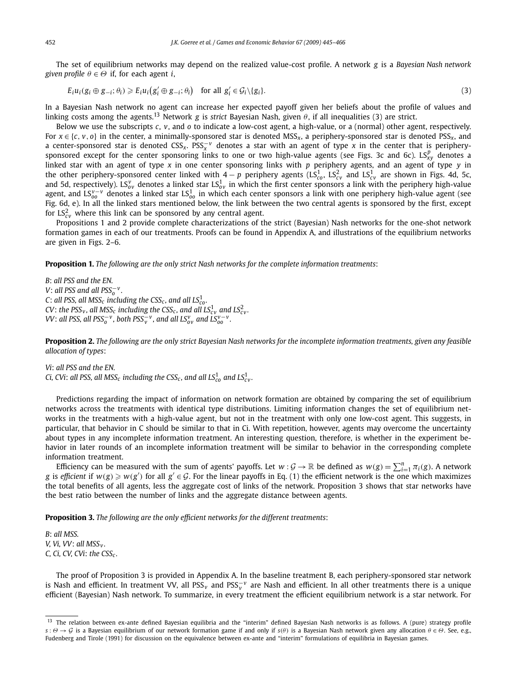The set of equilibrium networks may depend on the realized value-cost profile. A network *g* is a *Bayesian Nash network given profile*  $\theta \in \Theta$  *if, for each agent <i>i*,

$$
E_i u_i(g_i \oplus g_{-i}; \theta_i) \geqslant E_i u_i(g_i' \oplus g_{-i}; \theta_i) \quad \text{for all } g_i' \in \mathcal{G}_i \setminus \{g_i\}. \tag{3}
$$

In a Bayesian Nash network no agent can increase her expected payoff given her beliefs about the profile of values and linking costs among the agents.<sup>13</sup> Network *g* is *strict* Bayesian Nash, given *θ* , if all inequalities (3) are strict.

Below we use the subscripts *c*, *v*, and *o* to indicate a low-cost agent, a high-value, or a (normal) other agent, respectively. For  $x \in \{c, v, o\}$  in the center, a minimally-sponsored star is denoted MSS<sub>x</sub>, a periphery-sponsored star is denoted PSS<sub>x</sub>, and a center-sponsored star is denoted CSS<sub>x</sub>. PSS<sub>x</sub><sup>-*v*</sup> denotes a star with an agent of type *x* in the center that is peripherysponsored except for the center sponsoring links to one or two high-value agents (see Figs. 3c and 6c). LS<sub>zy</sub> denotes a linked star with an agent of type *x* in one center sponsoring links with *p* periphery agents, and an agent of type *y* in the other periphery-sponsored center linked with  $4-p$  periphery agents (LS $_{cv}^1$ , LS $_{cv}^2$  and LS $_{cv}^1$  are shown in Figs. 4d, 5c, and 5d, respectively). LS<sub>ov</sub> denotes a linked star LS<sub>ov</sub> in which the first center sponsors a link with the periphery high-value agent, and LS<sup>y−v</sup> denotes a linked star LS<sup>1</sup><sub>oo</sub> in which each center sponsors a link with one periphery high-value agent (see Fig. 6d, e). In all the linked stars mentioned below, the link between the two central agents is sponsored by the first, except for  $LS_{cv}^2$  where this link can be sponsored by any central agent.

Propositions 1 and 2 provide complete characterizations of the strict (Bayesian) Nash networks for the one-shot network formation games in each of our treatments. Proofs can be found in Appendix A, and illustrations of the equilibrium networks are given in Figs. 2–6.

**Proposition 1.** *The following are the only strict Nash networks for the complete information treatments*:

*B*: *all PSS and the EN. V*: *all PSS and all PSS*<sup> $o$ </sup><sup>*v*</sup>. *C*: all PSS, all  $MSS_c$  including the  $CSS_c$ , and all  $LS_{co}^1$ . *CV*: *the PSS<sub>v</sub>*, all MSS<sub>c</sub> including the CSS<sub>c</sub>, and all LS<sub>1</sub><sup>2</sup> and LS<sub>2</sub><sup>2</sup><sub>cv</sub>. *VV*: all PSS, all PSS<sup>−*v*</sup>, both PSS<sub>*v*</sub><sup>−*v*</sup>, and all LS<sub>*v*</sub><sup>*v*</sup> and LS<sub>*v*<sup>*v*</sub>−*v*.</sub></sup>

**Proposition 2.** *The following are the only strict Bayesian Nash networks for the incomplete information treatments, given any feasible allocation of types*:

*Vi*: *all PSS and the EN. Ci, CVi: all PSS, all MSS<sub>c</sub> including the CSS<sub>c</sub>, and all LS<sub>co</sub> and LS<sub>c</sub><sub>v</sub>.* 

Predictions regarding the impact of information on network formation are obtained by comparing the set of equilibrium networks across the treatments with identical type distributions. Limiting information changes the set of equilibrium networks in the treatments with a high-value agent, but not in the treatment with only one low-cost agent. This suggests, in particular, that behavior in C should be similar to that in Ci. With repetition, however, agents may overcome the uncertainty about types in any incomplete information treatment. An interesting question, therefore, is whether in the experiment behavior in later rounds of an incomplete information treatment will be similar to behavior in the corresponding complete information treatment.

Efficiency can be measured with the sum of agents' payoffs. Let  $w : \mathcal{G} \to \mathbb{R}$  be defined as  $w(g) = \sum_{i=1}^{n} \pi_i(g)$ . A network *g* is *efficient* if  $w(g) \ge w(g')$  for all  $g' \in G$ . For the linear payoffs in Eq. (1) the efficient network is the one which maximizes the total benefits of all agents, less the aggregate cost of links of the network. Proposition 3 shows that star networks have the best ratio between the number of links and the aggregate distance between agents.

**Proposition 3.** *The following are the only efficient networks for the different treatments*:

*B*: *all MSS. V, Vi, VV*: *all MSSv . C, Ci, CV, CVi*: *the CSSc .*

The proof of Proposition 3 is provided in Appendix A. In the baseline treatment B, each periphery-sponsored star network is Nash and efficient. In treatment VV, all PSS<sub>v</sub> and PSS<sup>−v</sup> are Nash and efficient. In all other treatments there is a unique efficient (Bayesian) Nash network. To summarize, in every treatment the efficient equilibrium network is a star network. For

<sup>&</sup>lt;sup>13</sup> The relation between ex-ante defined Bayesian equilibria and the "interim" defined Bayesian Nash networks is as follows. A (pure) strategy profile *<sup>s</sup>* : *Θ* → G is a Bayesian equilibrium of our network formation game if and only if *<sup>s</sup>(θ)* is a Bayesian Nash network given any allocation *θ* ∈ *Θ*. See, e.g., Fudenberg and Tirole (1991) for discussion on the equivalence between ex-ante and "interim" formulations of equilibria in Bayesian games.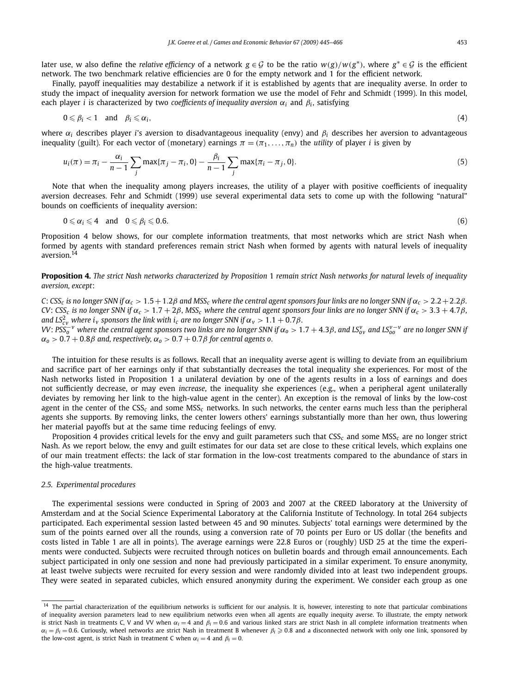later use, w also define the *relative efficiency* of a network  $g \in G$  to be the ratio  $w(g)/w(g^*)$ , where  $g^* \in G$  is the efficient network. The two benchmark relative efficiencies are 0 for the empty network and 1 for the efficient network.

Finally, payoff inequalities may destabilize a network if it is established by agents that are inequality averse. In order to study the impact of inequality aversion for network formation we use the model of Fehr and Schmidt (1999). In this model, each player *i* is characterized by two *coefficients of inequality aversion*  $\alpha_i$  and  $\beta_i$ , satisfying

$$
0 \leq \beta_i < 1 \quad \text{and} \quad \beta_i \leq \alpha_i,\tag{4}
$$

where *α<sup>i</sup>* describes player *i*'s aversion to disadvantageous inequality (envy) and *β<sup>i</sup>* describes her aversion to advantageous inequality (guilt). For each vector of (monetary) earnings  $\pi = (\pi_1, \ldots, \pi_n)$  the *utility* of player *i* is given by

$$
u_i(\pi) = \pi_i - \frac{\alpha_i}{n-1} \sum_j \max\{\pi_j - \pi_i, 0\} - \frac{\beta_i}{n-1} \sum_j \max\{\pi_i - \pi_j, 0\}.
$$
 (5)

Note that when the inequality among players increases, the utility of a player with positive coefficients of inequality aversion decreases. Fehr and Schmidt (1999) use several experimental data sets to come up with the following "natural" bounds on coefficients of inequality aversion:

$$
0 \leq \alpha_i \leq 4 \quad \text{and} \quad 0 \leq \beta_i \leq 0.6. \tag{6}
$$

Proposition 4 below shows, for our complete information treatments, that most networks which are strict Nash when formed by agents with standard preferences remain strict Nash when formed by agents with natural levels of inequality aversion.<sup>14</sup>

**Proposition 4.** *The strict Nash networks characterized by Proposition* 1 *remain strict Nash networks for natural levels of inequality aversion, except*:

C: CSS<sub>c</sub> is no longer SNN if  $\alpha_c > 1.5 + 1.2\beta$  and MSS<sub>c</sub> where the central agent sponsors four links are no longer SNN if  $\alpha_c > 2.2 + 2.2\beta$ . CV: CSS<sub>c</sub> is no longer SNN if  $\alpha_c > 1.7 + 2\beta$ , MSS<sub>c</sub> where the central agent sponsors four links are no longer SNN if  $\alpha_c > 3.3 + 4.7\beta$ ,  $a$  and LS $_{\rm cv}^2$  where  $i_{\rm v}$  sponsors the link with  $i_{\rm c}$  are no longer SNN if  $\alpha_{\rm v} > 1.1 + 0.7$   $\beta$ .

W: PSS $_0^{-v}$  where the central agent sponsors two links are no longer SNN if  $\alpha_o>1.7+4.3\beta$ , and LS $_{ov}^v$  and LS $_{oo}^{v-v}$  are no longer SNN if  $\alpha$ <sup>0</sup> > 0.7 + 0.8*β* and, respectively,  $\alpha$ <sup>0</sup> > 0.7 + 0.7*β* for central agents o.

The intuition for these results is as follows. Recall that an inequality averse agent is willing to deviate from an equilibrium and sacrifice part of her earnings only if that substantially decreases the total inequality she experiences. For most of the Nash networks listed in Proposition 1 a unilateral deviation by one of the agents results in a loss of earnings and does not sufficiently decrease, or may even *increase*, the inequality she experiences (e.g., when a peripheral agent unilaterally deviates by removing her link to the high-value agent in the center). An exception is the removal of links by the low-cost agent in the center of the CSS*<sup>c</sup>* and some MSS*<sup>c</sup>* networks. In such networks, the center earns much less than the peripheral agents she supports. By removing links, the center lowers others' earnings substantially more than her own, thus lowering her material payoffs but at the same time reducing feelings of envy.

Proposition 4 provides critical levels for the envy and guilt parameters such that CSS*<sup>c</sup>* and some MSS*<sup>c</sup>* are no longer strict Nash. As we report below, the envy and guilt estimates for our data set are close to these critical levels, which explains one of our main treatment effects: the lack of star formation in the low-cost treatments compared to the abundance of stars in the high-value treatments.

#### *2.5. Experimental procedures*

The experimental sessions were conducted in Spring of 2003 and 2007 at the CREED laboratory at the University of Amsterdam and at the Social Science Experimental Laboratory at the California Institute of Technology. In total 264 subjects participated. Each experimental session lasted between 45 and 90 minutes. Subjects' total earnings were determined by the sum of the points earned over all the rounds, using a conversion rate of 70 points per Euro or US dollar (the benefits and costs listed in Table 1 are all in points). The average earnings were 22.8 Euros or (roughly) USD 25 at the time the experiments were conducted. Subjects were recruited through notices on bulletin boards and through email announcements. Each subject participated in only one session and none had previously participated in a similar experiment. To ensure anonymity, at least twelve subjects were recruited for every session and were randomly divided into at least two independent groups. They were seated in separated cubicles, which ensured anonymity during the experiment. We consider each group as one

<sup>&</sup>lt;sup>14</sup> The partial characterization of the equilibrium networks is sufficient for our analysis. It is, however, interesting to note that particular combinations of inequality aversion parameters lead to new equilibrium networks even when all agents are equally inequity averse. To illustrate, the empty network is strict Nash in treatments C, V and VV when  $\alpha_i = 4$  and  $\beta_i = 0.6$  and various linked stars are strict Nash in all complete information treatments when  $\alpha$ <sup>*i*</sup> = *βi* = 0.6. Curiously, wheel networks are strict Nash in treatment B whenever  $\beta$ <sub>i</sub>  $\geqslant$  0.8 and a disconnected network with only one link, sponsored by the low-cost agent, is strict Nash in treatment C when  $\alpha_i = 4$  and  $\beta_i = 0$ .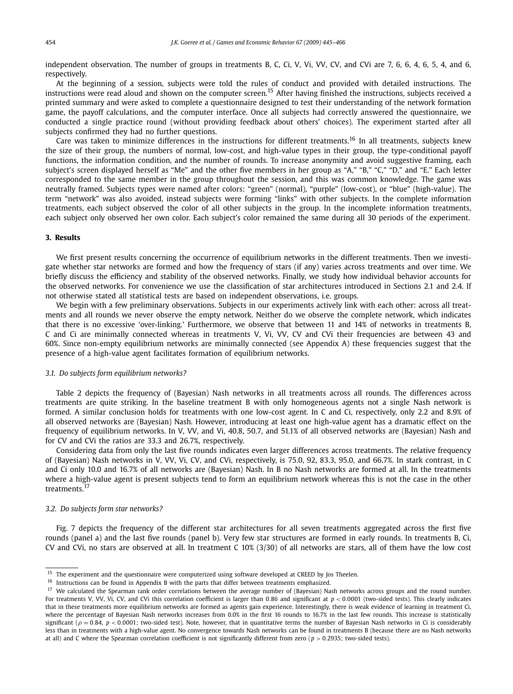independent observation. The number of groups in treatments B, C, Ci, V, Vi, VV, CV, and CVi are 7, 6, 6, 4, 6, 5, 4, and 6, respectively.

At the beginning of a session, subjects were told the rules of conduct and provided with detailed instructions. The instructions were read aloud and shown on the computer screen.<sup>15</sup> After having finished the instructions, subjects received a printed summary and were asked to complete a questionnaire designed to test their understanding of the network formation game, the payoff calculations, and the computer interface. Once all subjects had correctly answered the questionnaire, we conducted a single practice round (without providing feedback about others' choices). The experiment started after all subjects confirmed they had no further questions.

Care was taken to minimize differences in the instructions for different treatments.<sup>16</sup> In all treatments, subiects knew the size of their group, the numbers of normal, low-cost, and high-value types in their group, the type-conditional payoff functions, the information condition, and the number of rounds. To increase anonymity and avoid suggestive framing, each subject's screen displayed herself as "Me" and the other five members in her group as "A," "B," "C," "D," and "E." Each letter corresponded to the same member in the group throughout the session, and this was common knowledge. The game was neutrally framed. Subjects types were named after colors: "green" (normal), "purple" (low-cost), or "blue" (high-value). The term "network" was also avoided, instead subjects were forming "links" with other subjects. In the complete information treatments, each subject observed the color of all other subjects in the group. In the incomplete information treatments, each subject only observed her own color. Each subject's color remained the same during all 30 periods of the experiment.

#### **3. Results**

We first present results concerning the occurrence of equilibrium networks in the different treatments. Then we investigate whether star networks are formed and how the frequency of stars (if any) varies across treatments and over time. We briefly discuss the efficiency and stability of the observed networks. Finally, we study how individual behavior accounts for the observed networks. For convenience we use the classification of star architectures introduced in Sections 2.1 and 2.4. If not otherwise stated all statistical tests are based on independent observations, i.e. groups.

We begin with a few preliminary observations. Subjects in our experiments actively link with each other: across all treatments and all rounds we never observe the empty network. Neither do we observe the complete network, which indicates that there is no excessive 'over-linking.' Furthermore, we observe that between 11 and 14% of networks in treatments B, C and Ci are minimally connected whereas in treatments V, Vi, VV, CV and CVi their frequencies are between 43 and 60%. Since non-empty equilibrium networks are minimally connected (see Appendix A) these frequencies suggest that the presence of a high-value agent facilitates formation of equilibrium networks.

#### *3.1. Do subjects form equilibrium networks?*

Table 2 depicts the frequency of (Bayesian) Nash networks in all treatments across all rounds. The differences across treatments are quite striking. In the baseline treatment B with only homogeneous agents not a single Nash network is formed. A similar conclusion holds for treatments with one low-cost agent. In C and Ci, respectively, only 2.2 and 8.9% of all observed networks are (Bayesian) Nash. However, introducing at least one high-value agent has a dramatic effect on the frequency of equilibrium networks. In V, VV, and Vi, 40.8, 50.7, and 51.1% of all observed networks are (Bayesian) Nash and for CV and CVi the ratios are 33.3 and 26.7%, respectively.

Considering data from only the last five rounds indicates even larger differences across treatments. The relative frequency of (Bayesian) Nash networks in V, VV, Vi, CV, and CVi, respectively, is 75.0, 92, 83.3, 95.0, and 66.7%. In stark contrast, in C and Ci only 10.0 and 16.7% of all networks are (Bayesian) Nash. In B no Nash networks are formed at all. In the treatments where a high-value agent is present subjects tend to form an equilibrium network whereas this is not the case in the other treatments.<sup>17</sup>

### *3.2. Do subjects form star networks?*

Fig. 7 depicts the frequency of the different star architectures for all seven treatments aggregated across the first five rounds (panel a) and the last five rounds (panel b). Very few star structures are formed in early rounds. In treatments B, Ci, CV and CVi, no stars are observed at all. In treatment C 10% (3/30) of all networks are stars, all of them have the low cost

<sup>&</sup>lt;sup>15</sup> The experiment and the questionnaire were computerized using software developed at CREED by Jos Theelen.

<sup>&</sup>lt;sup>16</sup> Instructions can be found in Appendix B with the parts that differ between treatments emphasized.

<sup>&</sup>lt;sup>17</sup> We calculated the Spearman rank order correlations between the average number of (Bayesian) Nash networks across groups and the round number. For treatments V, VV, Vi, CV, and CVi this correlation coefficient is larger than 0*.*86 and significant at *p <* 0*.*0001 (two-sided tests). This clearly indicates that in these treatments more equilibrium networks are formed as agents gain experience. Interestingly, there is weak evidence of learning in treatment Ci, where the percentage of Bayesian Nash networks increases from 0.0% in the first 16 rounds to 16.7% in the last few rounds. This increase is statistically significant ( $\rho = 0.84$ ,  $p < 0.0001$ ; two-sided test). Note, however, that in quantitative terms the number of Bayesian Nash networks in Ci is considerably less than in treatments with a high-value agent. No convergence towards Nash networks can be found in treatments B (because there are no Nash networks at all) and C where the Spearman correlation coefficient is not significantly different from zero (*p >* 0*.*2935; two-sided tests).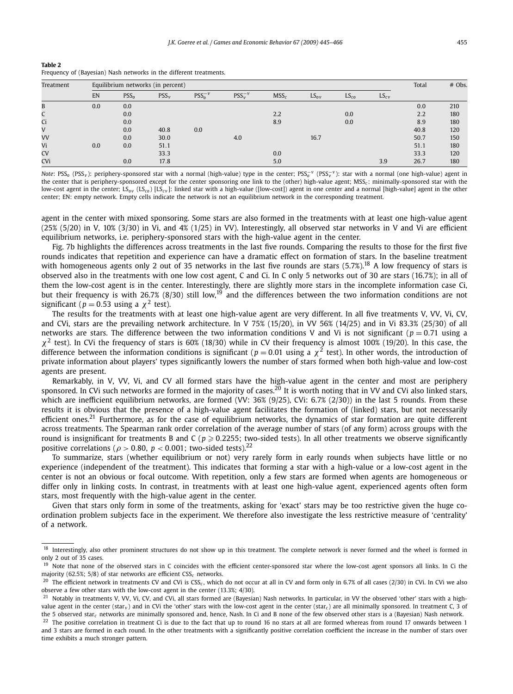| Table 2                                                            |  |
|--------------------------------------------------------------------|--|
| Frequency of (Bayesian) Nash networks in the different treatments. |  |

| Treatment | Equilibrium networks (in percent) |         |         |              |              |                  |           |           | Total     | # Obs. |     |
|-----------|-----------------------------------|---------|---------|--------------|--------------|------------------|-----------|-----------|-----------|--------|-----|
|           | EN                                | $PSS_0$ | $PSS_v$ | $PSS_0^{-v}$ | $PSS_v^{-v}$ | MSS <sub>c</sub> | $LS_{ov}$ | $LS_{CO}$ | $LS_{CV}$ |        |     |
| B         | 0.0                               | 0.0     |         |              |              |                  |           |           |           | 0.0    | 210 |
| C         |                                   | 0.0     |         |              |              | 2.2              |           | 0.0       |           | 2.2    | 180 |
| Ci        |                                   | 0.0     |         |              |              | 8.9              |           | 0.0       |           | 8.9    | 180 |
| V         |                                   | 0.0     | 40.8    | 0.0          |              |                  |           |           |           | 40.8   | 120 |
| VV        |                                   | 0.0     | 30.0    |              | 4.0          |                  | 16.7      |           |           | 50.7   | 150 |
| Vi        | 0.0                               | 0.0     | 51.1    |              |              |                  |           |           |           | 51.1   | 180 |
| <b>CV</b> |                                   |         | 33.3    |              |              | 0.0              |           |           |           | 33.3   | 120 |
| CVi       |                                   | 0.0     | 17.8    |              |              | 5.0              |           |           | 3.9       | 26.7   | 180 |

*Note*: PSS<sub>o</sub> (PSS<sub>v</sub>): periphery-sponsored star with a normal (high-value) type in the center; PSS−<sup>*v*</sup> (PSS−<sup>*v*</sup>): star with a normal (one high-value) agent in the center that is periphery-sponsored except for the center sponsoring one link to the (other) high-value agent; MSS*<sup>c</sup>* : minimally-sponsored star with the low-cost agent in the center; LS<sub>ov</sub> (LS<sub>co</sub>) [LS<sub>cv</sub>]: linked star with a high-value ([low-cost]) agent in one center and a normal [high-value] agent in the other center; EN: empty network. Empty cells indicate the network is not an equilibrium network in the corresponding treatment.

agent in the center with mixed sponsoring. Some stars are also formed in the treatments with at least one high-value agent  $(25\% (5/20)$  in V,  $10\% (3/30)$  in Vi, and  $4\% (1/25)$  in VV). Interestingly, all observed star networks in V and Vi are efficient equilibrium networks, i.e. periphery-sponsored stars with the high-value agent in the center.

Fig. 7b highlights the differences across treatments in the last five rounds. Comparing the results to those for the first five rounds indicates that repetition and experience can have a dramatic effect on formation of stars. In the baseline treatment with homogeneous agents only 2 out of 35 networks in the last five rounds are stars  $(5.7%)$ .<sup>18</sup> A low frequency of stars is observed also in the treatments with one low cost agent, C and Ci. In C only 5 networks out of 30 are stars (16.7%); in all of them the low-cost agent is in the center. Interestingly, there are slightly more stars in the incomplete information case Ci, but their frequency is with 26.7% (8/30) still low,<sup>19</sup> and the differences between the two information conditions are not significant ( $p = 0.53$  using a  $\chi^2$  test).

The results for the treatments with at least one high-value agent are very different. In all five treatments V, VV, Vi, CV, and CVi, stars are the prevailing network architecture. In V 75% (15/20), in VV 56% (14/25) and in Vi 83.3% (25/30) of all networks are stars. The difference between the two information conditions V and Vi is not significant ( $p = 0.71$  using a *χ*<sup>2</sup> test). In CVi the frequency of stars is 60% (18/30) while in CV their frequency is almost 100% (19/20). In this case, the difference between the information conditions is significant ( $p = 0.01$  using a  $\chi^2$  test). In other words, the introduction of private information about players' types significantly lowers the number of stars formed when both high-value and low-cost agents are present.

Remarkably, in V, VV, Vi, and CV all formed stars have the high-value agent in the center and most are periphery sponsored. In CVi such networks are formed in the majority of cases.<sup>20</sup> It is worth noting that in VV and CVi also linked stars, which are inefficient equilibrium networks, are formed (VV: 36% (9/25), CVi: 6.7% (2/30)) in the last 5 rounds. From these results it is obvious that the presence of a high-value agent facilitates the formation of (linked) stars, but not necessarily efficient ones.<sup>21</sup> Furthermore, as for the case of equilibrium networks, the dynamics of star formation are quite different across treatments. The Spearman rank order correlation of the average number of stars (of any form) across groups with the round is insignificant for treatments B and C ( $p$   $\geqslant$  0.2255; two-sided tests). In all other treatments we observe significantly positive correlations ( $\rho > 0.80$ ,  $p < 0.001$ ; two-sided tests).<sup>22</sup>

To summarize, stars (whether equilibrium or not) very rarely form in early rounds when subjects have little or no experience (independent of the treatment). This indicates that forming a star with a high-value or a low-cost agent in the center is not an obvious or focal outcome. With repetition, only a few stars are formed when agents are homogeneous or differ only in linking costs. In contrast, in treatments with at least one high-value agent, experienced agents often form stars, most frequently with the high-value agent in the center.

Given that stars only form in some of the treatments, asking for 'exact' stars may be too restrictive given the huge coordination problem subjects face in the experiment. We therefore also investigate the less restrictive measure of 'centrality' of a network.

<sup>&</sup>lt;sup>18</sup> Interestingly, also other prominent structures do not show up in this treatment. The complete network is never formed and the wheel is formed in only 2 out of 35 cases.

<sup>&</sup>lt;sup>19</sup> Note that none of the observed stars in C coincides with the efficient center-sponsored star where the low-cost agent sponsors all links. In Ci the majority (62.5%; 5/8) of star networks are efficient CSS*<sup>c</sup>* networks.

<sup>&</sup>lt;sup>20</sup> The efficient network in treatments CV and CVi is CSS<sub>c</sub>, which do not occur at all in CV and form only in 6.7% of all cases (2/30) in CVi. In CVi we also observe a few other stars with the low-cost agent in the center (13.3%; 4/30).

 $21$  Notably in treatments V, VV, Vi, CV, and CVi, all stars formed are (Bayesian) Nash networks. In particular, in VV the observed 'other' stars with a highvalue agent in the center (star<sub>v</sub>) and in CVi the 'other' stars with the low-cost agent in the center (star<sub>c</sub>) are all minimally sponsored. In treatment C, 3 of the 5 observed star*<sup>c</sup>* networks are minimally sponsored and, hence, Nash. In Ci and B none of the few observed other stars is a (Bayesian) Nash network.

 $22$  The positive correlation in treatment Ci is due to the fact that up to round 16 no stars at all are formed whereas from round 17 onwards between 1 and 3 stars are formed in each round. In the other treatments with a significantly positive correlation coefficient the increase in the number of stars over time exhibits a much stronger pattern.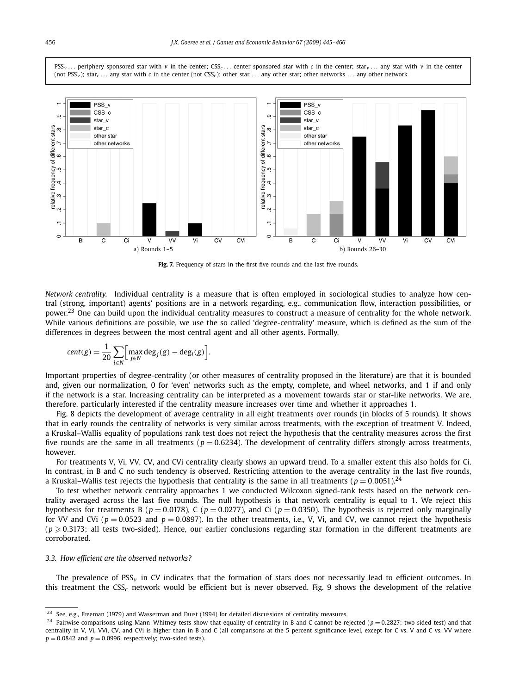$PSS_v$ ... periphery sponsored star with *v* in the center; CSS<sub>c</sub>,.. center sponsored star with *c* in the center; star<sub>v</sub>,.. any star with *v* in the center (not PSS*<sup>v</sup>* ); star*<sup>c</sup> ...* any star with *c* in the center (not CSS*<sup>c</sup>* ); other star *...* any other star; other networks *...* any other network



**Fig. 7.** Frequency of stars in the first five rounds and the last five rounds.

*Network centrality.* Individual centrality is a measure that is often employed in sociological studies to analyze how central (strong, important) agents' positions are in a network regarding, e.g., communication flow, interaction possibilities, or power.<sup>23</sup> One can build upon the individual centrality measures to construct a measure of centrality for the whole network. While various definitions are possible, we use the so called 'degree-centrality' measure, which is defined as the sum of the differences in degrees between the most central agent and all other agents. Formally,

$$
cent(g) = \frac{1}{20} \sum_{i \in N} \Big[ \max_{j \in N} deg_j(g) - deg_i(g) \Big].
$$

Important properties of degree-centrality (or other measures of centrality proposed in the literature) are that it is bounded and, given our normalization, 0 for 'even' networks such as the empty, complete, and wheel networks, and 1 if and only if the network is a star. Increasing centrality can be interpreted as a movement towards star or star-like networks. We are, therefore, particularly interested if the centrality measure increases over time and whether it approaches 1.

Fig. 8 depicts the development of average centrality in all eight treatments over rounds (in blocks of 5 rounds). It shows that in early rounds the centrality of networks is very similar across treatments, with the exception of treatment V. Indeed, a Kruskal–Wallis equality of populations rank test does not reject the hypothesis that the centrality measures across the first five rounds are the same in all treatments ( $p = 0.6234$ ). The development of centrality differs strongly across treatments, however.

For treatments V, Vi, VV, CV, and CVi centrality clearly shows an upward trend. To a smaller extent this also holds for Ci. In contrast, in B and C no such tendency is observed. Restricting attention to the average centrality in the last five rounds, a Kruskal–Wallis test rejects the hypothesis that centrality is the same in all treatments ( $p = 0.0051$ ).<sup>24</sup>

To test whether network centrality approaches 1 we conducted Wilcoxon signed-rank tests based on the network centrality averaged across the last five rounds. The null hypothesis is that network centrality is equal to 1. We reject this hypothesis for treatments B ( $p = 0.0178$ ), C ( $p = 0.0277$ ), and Ci ( $p = 0.0350$ ). The hypothesis is rejected only marginally for VV and CVi ( $p = 0.0523$  and  $p = 0.0897$ ). In the other treatments, i.e., V, Vi, and CV, we cannot reject the hypothesis  $(p\geqslant 0.3173;$  all tests two-sided). Hence, our earlier conclusions regarding star formation in the different treatments are corroborated.

#### *3.3. How efficient are the observed networks?*

The prevalence of PSS*<sup>v</sup>* in CV indicates that the formation of stars does not necessarily lead to efficient outcomes. In this treatment the CSS*<sup>c</sup>* network would be efficient but is never observed. Fig. 9 shows the development of the relative

<sup>&</sup>lt;sup>23</sup> See, e.g., Freeman (1979) and Wasserman and Faust (1994) for detailed discussions of centrality measures.

<sup>&</sup>lt;sup>24</sup> Pairwise comparisons using Mann–Whitney tests show that equality of centrality in B and C cannot be rejected ( $p = 0.2827$ ; two-sided test) and that centrality in V, Vi, VVi, CV, and CVi is higher than in B and C (all comparisons at the 5 percent significance level, except for C vs. V and C vs. VV where  $p = 0.0842$  and  $p = 0.0996$ , respectively; two-sided tests).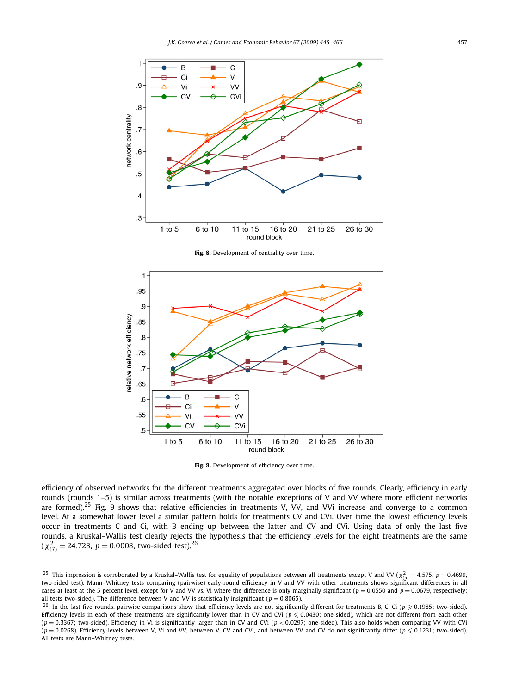

**Fig. 8.** Development of centrality over time.



**Fig. 9.** Development of efficiency over time.

efficiency of observed networks for the different treatments aggregated over blocks of five rounds. Clearly, efficiency in early rounds (rounds 1–5) is similar across treatments (with the notable exceptions of V and VV where more efficient networks are formed).<sup>25</sup> Fig. 9 shows that relative efficiencies in treatments V, VV, and VVi increase and converge to a common level. At a somewhat lower level a similar pattern holds for treatments CV and CVi. Over time the lowest efficiency levels occur in treatments C and Ci, with B ending up between the latter and CV and CVi. Using data of only the last five rounds, a Kruskal–Wallis test clearly rejects the hypothesis that the efficiency levels for the eight treatments are the same (*χ*<sup>2</sup> *(*7*)* = <sup>24</sup>*.*728, *<sup>p</sup>* = <sup>0</sup>*.*0008, two-sided test).<sup>26</sup>

 $^{25}$  This impression is corroborated by a Kruskal–Wallis test for equality of populations between all treatments except V and VV ( $\chi_{(5)}^2=4.575$ ,  $p=0.4699$ , two-sided test). Mann–Whitney tests comparing (pairwise) early-round efficiency in V and VV with other treatments shows significant differences in all cases at least at the 5 percent level, except for V and VV vs. Vi where the difference is only marginally significant ( $p = 0.0550$  and  $p = 0.0679$ , respectively; all tests two-sided). The difference between V and VV is statistically insignificant ( $p = 0.8065$ ).

 $^{26}$  In the last five rounds, pairwise comparisons show that efficiency levels are not significantly different for treatments B, C, Ci ( $p \geqslant 0.1985$ ; two-sided). Efficiency levels in each of these treatments are significantly lower than in CV and CVi ( $p \le 0.0430$ ; one-sided), which are not different from each other  $(p = 0.3367$ ; two-sided). Efficiency in Vi is significantly larger than in CV and CVi  $(p < 0.0297$ ; one-sided). This also holds when comparing VV with CVi  $(p = 0.0268)$ . Efficiency levels between V, Vi and VV, between V, CV and CVi, and between VV and CV do not significantly differ  $(p \leq 0.1231$ ; two-sided). All tests are Mann–Whitney tests.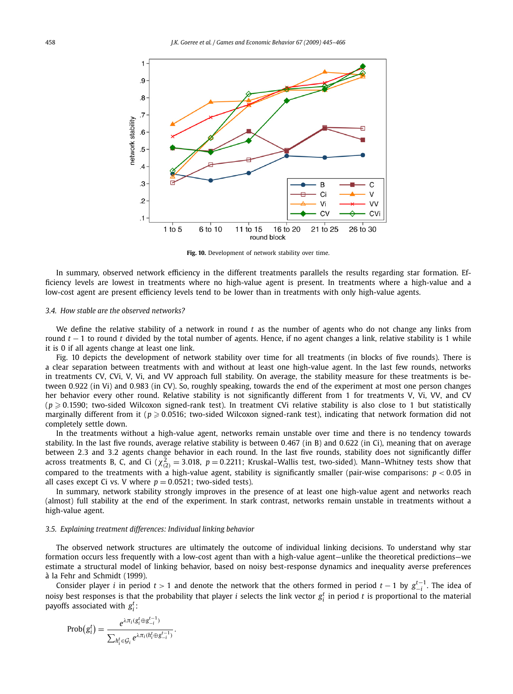

**Fig. 10.** Development of network stability over time.

In summary, observed network efficiency in the different treatments parallels the results regarding star formation. Efficiency levels are lowest in treatments where no high-value agent is present. In treatments where a high-value and a low-cost agent are present efficiency levels tend to be lower than in treatments with only high-value agents.

#### *3.4. How stable are the observed networks?*

We define the relative stability of a network in round *t* as the number of agents who do not change any links from round *t* − 1 to round *t* divided by the total number of agents. Hence, if no agent changes a link, relative stability is 1 while it is 0 if all agents change at least one link.

Fig. 10 depicts the development of network stability over time for all treatments (in blocks of five rounds). There is a clear separation between treatments with and without at least one high-value agent. In the last few rounds, networks in treatments CV, CVi, V, Vi, and VV approach full stability. On average, the stability measure for these treatments is between 0*.*922 (in Vi) and 0*.*983 (in CV). So, roughly speaking, towards the end of the experiment at most one person changes her behavior every other round. Relative stability is not significantly different from 1 for treatments V, Vi, VV, and CV (*p* ≥ 0.1590; two-sided Wilcoxon signed-rank test). In treatment CVi relative stability is also close to 1 but statistically marginally different from it (p  $\geqslant$  0.0516; two-sided Wilcoxon signed-rank test), indicating that network formation did not completely settle down.

In the treatments without a high-value agent, networks remain unstable over time and there is no tendency towards stability. In the last five rounds, average relative stability is between 0*.*467 (in B) and 0*.*622 (in Ci), meaning that on average between 2*.*3 and 3*.*2 agents change behavior in each round. In the last five rounds, stability does not significantly differ across treatments B, C, and Ci  $(\chi^2_{(2)} = 3.018, p = 0.2211;$  Kruskal–Wallis test, two-sided). Mann–Whitney tests show that compared to the treatments with a high-value agent, stability is significantly smaller (pair-wise comparisons:  $p < 0.05$  in all cases except Ci vs. V where  $p = 0.0521$ ; two-sided tests).

In summary, network stability strongly improves in the presence of at least one high-value agent and networks reach (almost) full stability at the end of the experiment. In stark contrast, networks remain unstable in treatments without a high-value agent.

#### *3.5. Explaining treatment differences: Individual linking behavior*

*.*

The observed network structures are ultimately the outcome of individual linking decisions. To understand why star formation occurs less frequently with a low-cost agent than with a high-value agent—unlike the theoretical predictions—we estimate a structural model of linking behavior, based on noisy best-response dynamics and inequality averse preferences à la Fehr and Schmidt (1999).

Consider player *i* in period  $t > 1$  and denote the network that the others formed in period  $t - 1$  by  $g_{-i}^{t-1}$ . The idea of noisy best responses is that the probability that player *i* selects the link vector  $g_i^t$  in period *t* is proportional to the material payoffs associated with *g<sup>t</sup> i*:

$$
Prob(g_i^t) = \frac{e^{\lambda \pi_i (g_i^t \oplus g_{-i}^{t-1})}}{\sum_{h_i^t \in \mathcal{G}_i} e^{\lambda \pi_i (h_i^t \oplus g_{-i}^{t-1})}}
$$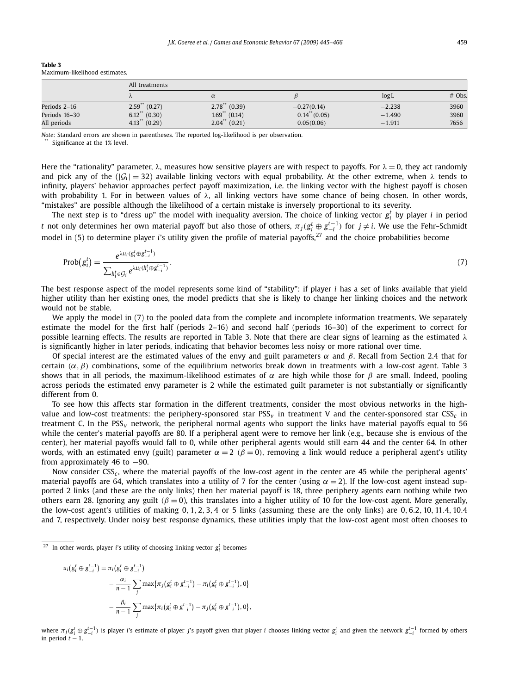| Table 3                       |  |
|-------------------------------|--|
| Maximum-likelihood estimates. |  |

|               | All treatments |                  |                               |          |          |  |  |  |
|---------------|----------------|------------------|-------------------------------|----------|----------|--|--|--|
|               | $\sim$         | $\alpha$         |                               | log L    | $#$ Obs. |  |  |  |
| Periods 2-16  | $2.59$ (0.27)  | $2.78$ ** (0.39) | $-0.27(0.14)$                 | $-2.238$ | 3960     |  |  |  |
| Periods 16-30 | $6.12$ (0.30)  | $1.69$ (0.14)    | $0.14$ <sup>**</sup> $(0.05)$ | $-1.490$ | 3960     |  |  |  |
| All periods   | 4.13<br>(0.29) | $2.04$ (0.21)    | 0.05(0.06)                    | $-1.911$ | 7656     |  |  |  |

*Note*: Standard errors are shown in parentheses. The reported log-likelihood is per observation.

Significance at the 1% level.

Here the "rationality" parameter,  $\lambda$ , measures how sensitive players are with respect to payoffs. For  $\lambda = 0$ , they act randomly and pick any of the ( $|G_i| = 32$ ) available linking vectors with equal probability. At the other extreme, when  $\lambda$  tends to infinity, players' behavior approaches perfect payoff maximization, i.e. the linking vector with the highest payoff is chosen with probability 1. For in between values of *λ*, all linking vectors have some chance of being chosen. In other words, "mistakes" are possible although the likelihood of a certain mistake is inversely proportional to its severity.

The next step is to "dress up" the model with inequality aversion. The choice of linking vector  $g^t_i$  by player  $i$  in period *t* not only determines her own material payoff but also those of others,  $\pi_j(g_i^t \oplus g_{-i}^{t-1})$  for  $j \neq i$ . We use the Fehr–Schmidt model in (5) to determine player *i*'s utility given the profile of material payoffs,<sup>27</sup> and the choice probabilities become

$$
Prob(g_i^t) = \frac{e^{\lambda u_i(g_i^t \oplus g_{-i}^{t-1})}}{\sum_{h_i^t \in \mathcal{G}_i} e^{\lambda u_i(h_i^t \oplus g_{-i}^{t-1})}}.
$$
\n
$$
(7)
$$

The best response aspect of the model represents some kind of "stability": if player *i* has a set of links available that yield higher utility than her existing ones, the model predicts that she is likely to change her linking choices and the network would not be stable.

We apply the model in (7) to the pooled data from the complete and incomplete information treatments. We separately estimate the model for the first half (periods 2–16) and second half (periods 16–30) of the experiment to correct for possible learning effects. The results are reported in Table 3. Note that there are clear signs of learning as the estimated *λ* is significantly higher in later periods, indicating that behavior becomes less noisy or more rational over time.

Of special interest are the estimated values of the envy and guilt parameters *α* and *β*. Recall from Section 2.4 that for certain *(α,β)* combinations, some of the equilibrium networks break down in treatments with a low-cost agent. Table 3 shows that in all periods, the maximum-likelihood estimates of *α* are high while those for *β* are small. Indeed, pooling across periods the estimated envy parameter is 2 while the estimated guilt parameter is not substantially or significantly different from 0.

To see how this affects star formation in the different treatments, consider the most obvious networks in the highvalue and low-cost treatments: the periphery-sponsored star  $PSS<sub>v</sub>$  in treatment V and the center-sponsored star  $CSS<sub>c</sub>$  in treatment C. In the PSS*<sup>v</sup>* network, the peripheral normal agents who support the links have material payoffs equal to 56 while the center's material payoffs are 80. If a peripheral agent were to remove her link (e.g., because she is envious of the center), her material payoffs would fall to 0, while other peripheral agents would still earn 44 and the center 64. In other words, with an estimated envy (guilt) parameter *α* = 2 *(β* = 0*)*, removing a link would reduce a peripheral agent's utility from approximately 46 to  $-90$ .

Now consider CSS<sub>c</sub>, where the material payoffs of the low-cost agent in the center are 45 while the peripheral agents' material payoffs are 64, which translates into a utility of 7 for the center (using  $\alpha = 2$ ). If the low-cost agent instead supported 2 links (and these are the only links) then her material payoff is 18, three periphery agents earn nothing while two others earn 28. Ignoring any guilt *(β* = 0), this translates into a higher utility of 10 for the low-cost agent. More generally, the low-cost agent's utilities of making 0*,* 1*,* 2*,* 3*,* 4 or 5 links (assuming these are the only links) are 0*,* 6*.*2*,* 10*,* 11*.*4*,* 10*.*4 and 7, respectively. Under noisy best response dynamics, these utilities imply that the low-cost agent most often chooses to

<sup>27</sup> In other words, player *i*'s utility of choosing linking vector  $g_i^t$  becomes

$$
u_i(g_i^t \oplus g_{-i}^{t-1}) = \pi_i(g_i^t \oplus g_{-i}^{t-1})
$$
  
- 
$$
\frac{\alpha_i}{n-1} \sum_j \max{\pi_j(g_i^t \oplus g_{-i}^{t-1})} - \pi_i(g_i^t \oplus g_{-i}^{t-1}), 0
$$
  
- 
$$
\frac{\beta_i}{n-1} \sum_j \max{\pi_i(g_i^t \oplus g_{-i}^{t-1})} - \pi_j(g_i^t \oplus g_{-i}^{t-1}), 0
$$

where  $\pi_j(g_i^t\oplus g_{-i}^{t-1})$  is player i's estimate of player  $j$ 's payoff given that player  $i$  chooses linking vector  $g_i^t$  and given the network  $g_{-i}^{t-1}$  formed by others in period  $t - 1$ .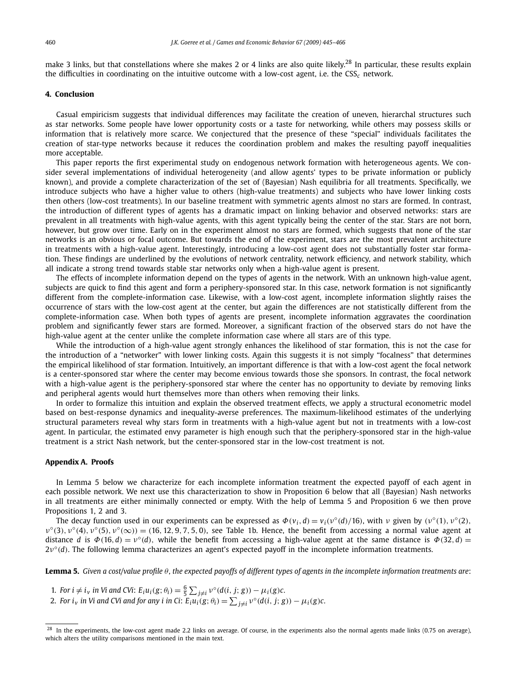make 3 links, but that constellations where she makes 2 or 4 links are also quite likely.<sup>28</sup> In particular, these results explain the difficulties in coordinating on the intuitive outcome with a low-cost agent, i.e. the CSS*<sup>c</sup>* network.

#### **4. Conclusion**

Casual empiricism suggests that individual differences may facilitate the creation of uneven, hierarchal structures such as star networks. Some people have lower opportunity costs or a taste for networking, while others may possess skills or information that is relatively more scarce. We conjectured that the presence of these "special" individuals facilitates the creation of star-type networks because it reduces the coordination problem and makes the resulting payoff inequalities more acceptable.

This paper reports the first experimental study on endogenous network formation with heterogeneous agents. We consider several implementations of individual heterogeneity (and allow agents' types to be private information or publicly known), and provide a complete characterization of the set of (Bayesian) Nash equilibria for all treatments. Specifically, we introduce subjects who have a higher value to others (high-value treatments) and subjects who have lower linking costs then others (low-cost treatments). In our baseline treatment with symmetric agents almost no stars are formed. In contrast, the introduction of different types of agents has a dramatic impact on linking behavior and observed networks: stars are prevalent in all treatments with high-value agents, with this agent typically being the center of the star. Stars are not born, however, but grow over time. Early on in the experiment almost no stars are formed, which suggests that none of the star networks is an obvious or focal outcome. But towards the end of the experiment, stars are the most prevalent architecture in treatments with a high-value agent. Interestingly, introducing a low-cost agent does not substantially foster star formation. These findings are underlined by the evolutions of network centrality, network efficiency, and network stability, which all indicate a strong trend towards stable star networks only when a high-value agent is present.

The effects of incomplete information depend on the types of agents in the network. With an unknown high-value agent, subjects are quick to find this agent and form a periphery-sponsored star. In this case, network formation is not significantly different from the complete-information case. Likewise, with a low-cost agent, incomplete information slightly raises the occurrence of stars with the low-cost agent at the center, but again the differences are not statistically different from the complete-information case. When both types of agents are present, incomplete information aggravates the coordination problem and significantly fewer stars are formed. Moreover, a significant fraction of the observed stars do not have the high-value agent at the center unlike the complete information case where all stars are of this type.

While the introduction of a high-value agent strongly enhances the likelihood of star formation, this is not the case for the introduction of a "networker" with lower linking costs. Again this suggests it is not simply "focalness" that determines the empirical likelihood of star formation. Intuitively, an important difference is that with a low-cost agent the focal network is a center-sponsored star where the center may become envious towards those she sponsors. In contrast, the focal network with a high-value agent is the periphery-sponsored star where the center has no opportunity to deviate by removing links and peripheral agents would hurt themselves more than others when removing their links.

In order to formalize this intuition and explain the observed treatment effects, we apply a structural econometric model based on best-response dynamics and inequality-averse preferences. The maximum-likelihood estimates of the underlying structural parameters reveal why stars form in treatments with a high-value agent but not in treatments with a low-cost agent. In particular, the estimated envy parameter is high enough such that the periphery-sponsored star in the high-value treatment is a strict Nash network, but the center-sponsored star in the low-cost treatment is not.

#### **Appendix A. Proofs**

In Lemma 5 below we characterize for each incomplete information treatment the expected payoff of each agent in each possible network. We next use this characterization to show in Proposition 6 below that all (Bayesian) Nash networks in all treatments are either minimally connected or empty. With the help of Lemma 5 and Proposition 6 we then prove Propositions 1, 2 and 3.

The decay function used in our experiments can be expressed as  $\Phi(v_i, d) = v_i(v^{\circ}(d)/16)$ , with v given by  $(v^{\circ}(1), v^{\circ}(2))$ .  $v^{\circ}(3)$ ,  $v^{\circ}(4)$ ,  $v^{\circ}(5)$ ,  $v^{\circ}(\infty)) = (16, 12, 9, 7, 5, 0)$ , see Table 1b. Hence, the benefit from accessing a normal value agent at distance *d* is  $\Phi(16, d) = v°(d)$ , while the benefit from accessing a high-value agent at the same distance is  $\Phi(32, d)$  = 2*ν*◦*(d)*. The following lemma characterizes an agent's expected payoff in the incomplete information treatments.

**Lemma 5.** *Given a cost/value profile θ , the expected payoffs of different types of agents in the incomplete information treatments are*:

- 1. For  $i \neq i_v$  in Vi and CVi:  $E_i u_i(g; \theta_i) = \frac{6}{5} \sum_{j \neq i} v^\circ(d(i, j; g)) \mu_i(g)c$ .
- 2. For  $i_v$  in Vi and CVi and for any i in Ci:  $E_i u_i(g; \theta_i) = \sum_{j \neq i} v^\circ(d(i, j; g)) \mu_i(g)c$ .

<sup>&</sup>lt;sup>28</sup> In the experiments, the low-cost agent made 2.2 links on average. Of course, in the experiments also the normal agents made links (0.75 on average), which alters the utility comparisons mentioned in the main text.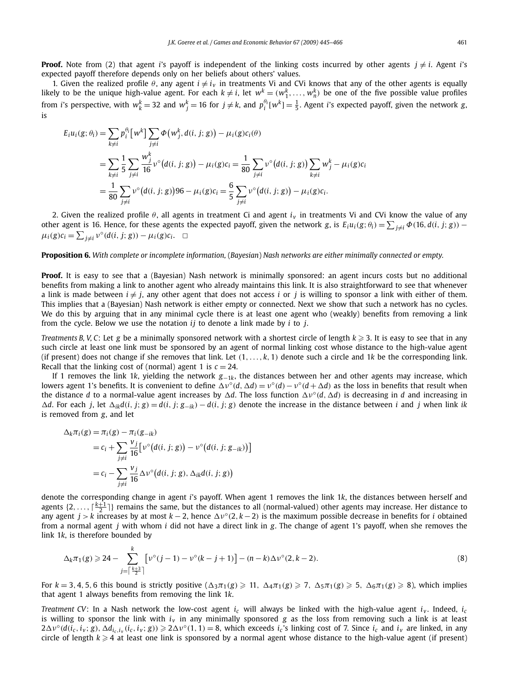**Proof.** Note from (2) that agent *i*'s payoff is independent of the linking costs incurred by other agents  $j \neq i$ . Agent *i*'s expected payoff therefore depends only on her beliefs about others' values.

1. Given the realized profile  $\theta$ , any agent  $i \neq i_y$  in treatments Vi and CVi knows that any of the other agents is equally likely to be the unique high-value agent. For each  $k \neq i$ , let  $w^k = (w^k_1, \ldots, w^k_n)$  be one of the five possible value profiles from i's perspective, with  $w_k^k=32$  and  $w_j^k=16$  for  $j\neq k$ , and  $p_j^{\theta_i}[w^k]=\frac{1}{5}$ . Agent i's expected payoff, given the network g, is

$$
E_i u_i(g; \theta_i) = \sum_{k \neq i} p_i^{\theta_i} [w^k] \sum_{j \neq i} \Phi(w_j^k, d(i, j; g)) - \mu_i(g) c_i(\theta)
$$
  
= 
$$
\sum_{k \neq i} \frac{1}{5} \sum_{j \neq i} \frac{w_j^k}{16} v^{\circ}(d(i, j; g)) - \mu_i(g) c_i = \frac{1}{80} \sum_{j \neq i} v^{\circ}(d(i, j; g)) \sum_{k \neq i} w_j^k - \mu_i(g) c_i
$$
  
= 
$$
\frac{1}{80} \sum_{j \neq i} v^{\circ}(d(i, j; g)) 96 - \mu_i(g) c_i = \frac{6}{5} \sum_{j \neq i} v^{\circ}(d(i, j; g)) - \mu_i(g) c_i.
$$

2. Given the realized profile  $\theta$ , all agents in treatment Ci and agent  $i<sub>v</sub>$  in treatments Vi and CVi know the value of any other agent is 16. Hence, for these agents the expected payoff, given the network g, is  $E_iu_i(g;\theta_i)=\sum_{j\neq i}\Phi(16,d(i,j;g))$  –  $\mu_i(g)c_i = \sum_{j \neq i} \nu^{\circ}(d(i, j; g)) - \mu_i(g)c_i. \quad \Box$ 

#### **Proposition 6.** *With complete or incomplete information,* (*Bayesian*) *Nash networks are either minimally connected or empty.*

**Proof.** It is easy to see that a (Bayesian) Nash network is minimally sponsored: an agent incurs costs but no additional benefits from making a link to another agent who already maintains this link. It is also straightforward to see that whenever a link is made between  $i \neq j$ , any other agent that does not access *i* or *j* is willing to sponsor a link with either of them. This implies that a (Bayesian) Nash network is either empty or connected. Next we show that such a network has no cycles. We do this by arguing that in any minimal cycle there is at least one agent who (weakly) benefits from removing a link from the cycle. Below we use the notation *ij* to denote a link made by *i* to *j*.

*Treatments B, V, C*: Let *g* be a minimally sponsored network with a shortest circle of length *k* ≥ 3. It is easy to see that in any such circle at least one link must be sponsored by an agent of normal linking cost whose distance to the high-value agent (if present) does not change if she removes that link. Let *(*1*,...,k,* 1*)* denote such a circle and 1*k* be the corresponding link. Recall that the linking cost of (normal) agent 1 is  $c = 24$ .

If 1 removes the link 1*k*, yielding the network *g*−1*k*, the distances between her and other agents may increase, which lowers agent 1's benefits. It is convenient to define  $\Delta v^{\circ}(d, \Delta d) = v^{\circ}(d) - v^{\circ}(d + \Delta d)$  as the loss in benefits that result when the distance *d* to a normal-value agent increases by  $\Delta d$ . The loss function  $\Delta v^\circ(d, \Delta d)$  is decreasing in *d* and increasing in  $\Delta d$ . For each j, let  $\Delta_{ik}d(i, j; g) = d(i, j; g_{-ik}) - d(i, j; g)$  denote the increase in the distance between i and j when link ik is removed from *g*, and let

$$
\Delta_k \pi_i(g) = \pi_i(g) - \pi_i(g_{-ik})
$$
  
=  $c_i + \sum_{j \neq i} \frac{v_j}{16} [v^{\circ}(d(i, j; g)) - v^{\circ}(d(i, j; g_{-ik}))]$   
=  $c_i - \sum_{j \neq i} \frac{v_j}{16} \Delta v^{\circ}(d(i, j; g), \Delta_{ik}d(i, j; g))$ 

denote the corresponding change in agent *i*'s payoff. When agent 1 removes the link 1*k*, the distances between herself and agents  $\{2,\ldots,\lceil\frac{k+1}{2}\rceil\}$  remains the same, but the distances to all (normal-valued) other agents may increase. Her distance to any agent *j* > *k* increases by at most  $k - 2$ , hence  $\Delta v$ ° $(2, k - 2)$  is the maximum possible decrease in benefits for *i* obtained from a normal agent *j* with whom *i* did not have a direct link in *g*. The change of agent 1's payoff, when she removes the link 1*k*, is therefore bounded by

$$
\Delta_k \pi_1(g) \geq 24 - \sum_{j=\lceil \frac{k+3}{2} \rceil}^k \left[ \nu^{\circ}(j-1) - \nu^{\circ}(k-j+1) \right] - (n-k)\Delta \nu^{\circ}(2, k-2). \tag{8}
$$

For  $k = 3, 4, 5, 6$  this bound is strictly positive  $(\Delta_3 \pi_1(g) \ge 11, \Delta_4 \pi_1(g) \ge 7, \Delta_5 \pi_1(g) \ge 5, \Delta_6 \pi_1(g) \ge 8)$ , which implies that agent 1 always benefits from removing the link 1*k*.

*Treatment CV*: In a Nash network the low-cost agent  $i_c$  will always be linked with the high-value agent  $i_v$ . Indeed,  $i_c$ is willing to sponsor the link with  $i<sub>v</sub>$  in any minimally sponsored  $g$  as the loss from removing such a link is at least  $2\Delta v^{\circ}(d(i_c,i_v;g), \Delta d_{i_c,i_v}(i_c,i_v;g)) \geq 2\Delta v^{\circ}(1,1) = 8$ , which exceeds  $i_c$ 's linking cost of 7. Since  $i_c$  and  $i_v$  are linked, in any circle of length *k* ≥ 4 at least one link is sponsored by a normal agent whose distance to the high-value agent (if present)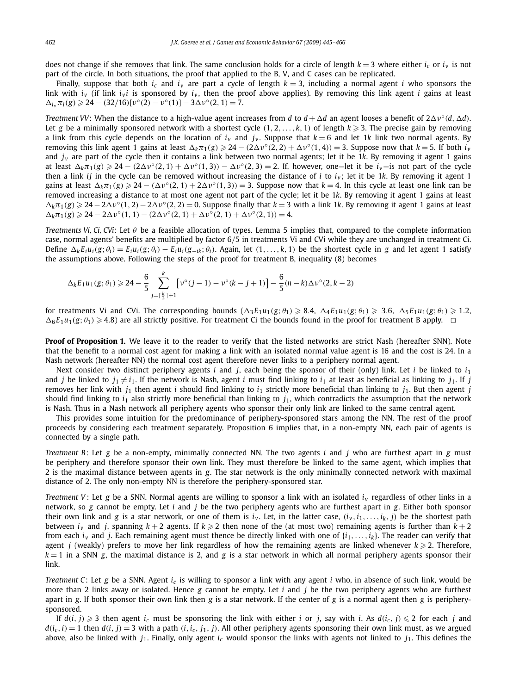does not change if she removes that link. The same conclusion holds for a circle of length  $k = 3$  where either  $i_c$  or  $i_v$  is not part of the circle. In both situations, the proof that applied to the B, V, and C cases can be replicated.

Finally, suppose that both  $i_c$  and  $i_v$  are part a cycle of length  $k = 3$ , including a normal agent *i* who sponsors the link with  $i_v$  (if link  $i_v$ ) is sponsored by  $i_v$ , then the proof above applies). By removing this link agent *i* gains at least  $\Delta_{i_v} \pi_i(g) \geq 24 - (32/16)[\nu\degree(2) - \nu\degree(1)] - 3\Delta \nu\degree(2, 1) = 7.$ 

*Treatment VV*: When the distance to a high-value agent increases from *d* to  $d + \Delta d$  an agent looses a benefit of  $2\Delta v$ <sup>°</sup> $(d, \Delta d)$ . Let  $g$  be a minimally sponsored network with a shortest cycle  $(1,2,\ldots,k,1)$  of length  $k\geqslant 3.$  The precise gain by removing a link from this cycle depends on the location of  $i<sub>y</sub>$  and  $j<sub>y</sub>$ . Suppose that  $k = 6$  and let 1k link two normal agents. By removing this link agent 1 gains at least  $\Delta_k \pi_1(g) \geq 24 - (2\Delta \nu^{\circ}(2,2) + \Delta \nu^{\circ}(1,4)) = 3$ . Suppose now that  $k = 5$ . If both  $i_k$ and *jv* are part of the cycle then it contains a link between two normal agents; let it be 1*k*. By removing it agent 1 gains at least  $\Delta_k \pi_1(g) \geq 24 - (2\Delta \nu^{\circ}(2,1) + \Delta \nu^{\circ}(1,3)) - \Delta \nu^{\circ}(2,3) = 2$ . If, however, one-let it be  $i_v$ -is not part of the cycle then a link *ij* in the cycle can be removed without increasing the distance of *i* to *iv* ; let it be 1*k*. By removing it agent 1 gains at least  $\Delta_k \pi_1(g) \geq 24 - (\Delta \nu^{\circ}(2, 1) + 2\Delta \nu^{\circ}(1, 3)) = 3$ . Suppose now that  $k = 4$ . In this cycle at least one link can be removed increasing a distance to at most one agent not part of the cycle; let it be 1*k*. By removing it agent 1 gains at least  $\Delta_k \pi_1(g) \geq 24 - 2\Delta \nu^{\circ}(1,2) - 2\Delta \nu^{\circ}(2,2) = 0$ . Suppose finally that  $k = 3$  with a link 1k. By removing it agent 1 gains at least  $\Delta_k \pi_1(g) \geq 24 - 2\Delta \nu^{\circ}(1, 1) - (2\Delta \nu^{\circ}(2, 1) + \Delta \nu^{\circ}(2, 1) + \Delta \nu^{\circ}(2, 1)) = 4.$ 

*Treatments Vi, Ci, CVi*: Let *θ* be a feasible allocation of types. Lemma 5 implies that, compared to the complete information case, normal agents' benefits are multiplied by factor 6*/*5 in treatments Vi and CVi while they are unchanged in treatment Ci. Define  $\Delta_k E_i u_i(g; \theta_i) = E_i u_i(g; \theta_i) - E_i u_i(g_{-ik}; \theta_i)$ . Again, let  $(1, \dots, k, 1)$  be the shortest cycle in g and let agent 1 satisfy the assumptions above. Following the steps of the proof for treatment B, inequality (8) becomes

$$
\Delta_k E_1 u_1(g; \theta_1) \geq 24 - \frac{6}{5} \sum_{j=\lceil \frac{k}{2} \rceil+1}^k \left[ \nu^{\circ}(j-1) - \nu^{\circ}(k-j+1) \right] - \frac{6}{5} (n-k) \Delta \nu^{\circ}(2, k-2)
$$

for treatments Vi and CVi. The corresponding bounds  $(\Delta_3 E_1 u_1(g;\theta_1) \ge 8.4, \Delta_4 E_1 u_1(g;\theta_1) \ge 3.6, \Delta_5 E_1 u_1(g;\theta_1) \ge 1.2,$  $\Delta_6E_1u_1(g;\theta_1)\geq 4.8$ ) are all strictly positive. For treatment Ci the bounds found in the proof for treatment B apply.  $\Box$ 

**Proof of Proposition 1.** We leave it to the reader to verify that the listed networks are strict Nash (hereafter SNN). Note that the benefit to a normal cost agent for making a link with an isolated normal value agent is 16 and the cost is 24. In a Nash network (hereafter NN) the normal cost agent therefore never links to a periphery normal agent.

Next consider two distinct periphery agents *i* and *j*, each being the sponsor of their (only) link. Let *i* be linked to *i*<sup>1</sup> and *j* be linked to  $j_1 \neq i_1$ . If the network is Nash, agent *i* must find linking to  $i_1$  at least as beneficial as linking to  $j_1$ . If *j* removes her link with *j*<sup>1</sup> then agent *i* should find linking to *i*<sup>1</sup> strictly more beneficial than linking to *j*1. But then agent *j* should find linking to *i*<sup>1</sup> also strictly more beneficial than linking to *j*1, which contradicts the assumption that the network is Nash. Thus in a Nash network all periphery agents who sponsor their only link are linked to the same central agent.

This provides some intuition for the predominance of periphery-sponsored stars among the NN. The rest of the proof proceeds by considering each treatment separately. Proposition 6 implies that, in a non-empty NN, each pair of agents is connected by a single path.

*Treatment B*: Let *g* be a non-empty, minimally connected NN. The two agents *i* and *j* who are furthest apart in *g* must be periphery and therefore sponsor their own link. They must therefore be linked to the same agent, which implies that 2 is the maximal distance between agents in *g*. The star network is the only minimally connected network with maximal distance of 2. The only non-empty NN is therefore the periphery-sponsored star.

*Treatment V* : Let *g* be a SNN. Normal agents are willing to sponsor a link with an isolated *iv* regardless of other links in a network, so *g* cannot be empty. Let *i* and *j* be the two periphery agents who are furthest apart in *g*. Either both sponsor their own link and *g* is a star network, or one of them is  $i_v$ . Let, in the latter case,  $(i_v, i_1, \ldots, i_k, j)$  be the shortest path between  $i_v$  and *j*, spanning  $k+2$  agents. If  $k \geqslant 2$  then none of the (at most two) remaining agents is further than  $k+2$ from each  $i_v$  and  $j$ . Each remaining agent must thence be directly linked with one of  $\{i_1, \ldots, i_k\}$ . The reader can verify that agent  $j$  (weakly) prefers to move her link regardless of how the remaining agents are linked whenever  $k\geqslant 2.$  Therefore,  $k = 1$  in a SNN *g*, the maximal distance is 2, and *g* is a star network in which all normal periphery agents sponsor their link.

*Treatment C*: Let *g* be a SNN. Agent *ic* is willing to sponsor a link with any agent *i* who, in absence of such link, would be more than 2 links away or isolated. Hence *g* cannot be empty. Let *i* and *j* be the two periphery agents who are furthest apart in *g*. If both sponsor their own link then *g* is a star network. If the center of *g* is a normal agent then *g* is peripherysponsored.

If  $d(i, j) \geqslant 3$  then agent  $i_c$  must be sponsoring the link with either i or j, say with i. As  $d(i_c, j) \leqslant 2$  for each j and  $d(i_c, i) = 1$  then  $d(i, j) = 3$  with a path  $(i, i_c, j_1, j)$ . All other periphery agents sponsoring their own link must, as we argued above, also be linked with  $j_1$ . Finally, only agent  $i_c$  would sponsor the links with agents not linked to  $j_1$ . This defines the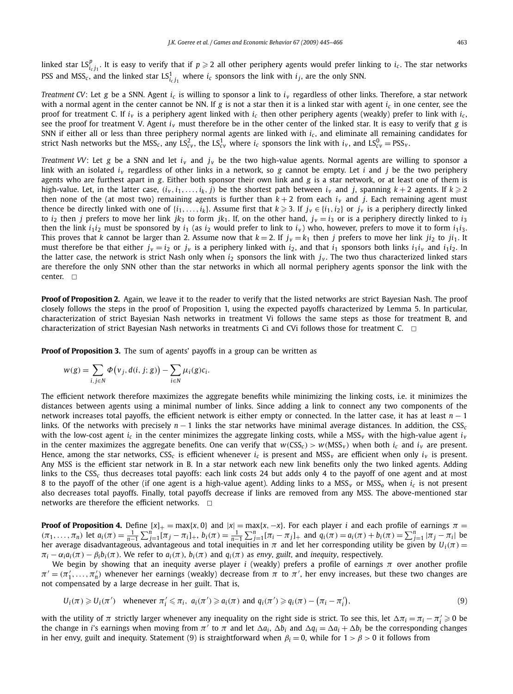linked star LS $_{i_cj_1}^p$ . It is easy to verify that if  $p\geqslant 2$  all other periphery agents would prefer linking to  $i_c$ . The star networks PSS and  $MSS_c$ , and the linked star  $LS_{i_cj_1}^1$  where  $i_c$  sponsors the link with  $i_j$ , are the only SNN.

*Treatment CV*: Let *g* be a SNN. Agent *i<sub>c</sub>* is willing to sponsor a link to *i<sub>v</sub>* regardless of other links. Therefore, a star network with a normal agent in the center cannot be NN. If *g* is not a star then it is a linked star with agent *ic* in one center, see the proof for treatment C. If *iv* is a periphery agent linked with *ic* then other periphery agents (weakly) prefer to link with *ic* , see the proof for treatment V. Agent *iv* must therefore be in the other center of the linked star. It is easy to verify that *g* is SNN if either all or less than three periphery normal agents are linked with *i<sub>c</sub>*, and eliminate all remaining candidates for strict Nash networks but the MSS<sub>c</sub>, any LS<sup>2</sup><sub>c</sub><sub>v</sub>, the LS<sub>cv</sub> where  $i_c$  sponsors the link with  $i_v$ , and LS<sub>Cv</sub> = PSS<sub>v</sub>.

*Treatment VV*: Let *g* be a SNN and let *iv* and *jv* be the two high-value agents. Normal agents are willing to sponsor a link with an isolated *iv* regardless of other links in a network, so *g* cannot be empty. Let *i* and *j* be the two periphery agents who are furthest apart in *g*. Either both sponsor their own link and *g* is a star network, or at least one of them is high-value. Let, in the latter case,  $(i_v, i_1, \ldots, i_k, j)$  be the shortest path between  $i_v$  and  $j$ , spanning  $k+2$  agents. If  $k \geqslant 2$ then none of the (at most two) remaining agents is further than  $k + 2$  from each  $i<sub>v</sub>$  and *j*. Each remaining agent must thence be directly linked with one of  $\{i_1,\ldots,i_k\}$ . Assume first that  $k \geqslant 3$ . If  $j_v \in \{i_1,i_2\}$  or  $j_v$  is a periphery directly linked to *i*<sub>2</sub> then *j* prefers to move her link *jk*<sub>3</sub> to form *jk*<sub>1</sub>. If, on the other hand,  $j_v = i_3$  or is a periphery directly linked to *i*<sub>3</sub> then the link  $i_1i_2$  must be sponsored by  $i_1$  (as  $i_2$  would prefer to link to  $i_v$ ) who, however, prefers to move it to form  $i_1i_3$ . This proves that *k* cannot be larger than 2. Assume now that  $k = 2$ . If  $j_v = k_1$  then *j* prefers to move her link *ji*<sub>2</sub> to *ji*<sub>1</sub>. It must therefore be that either  $j_y = i_2$  or  $j_y$  is a periphery linked with  $i_2$ , and that  $i_1$  sponsors both links  $i_1i_y$  and  $i_1i_2$ . In the latter case, the network is strict Nash only when  $i_2$  sponsors the link with  $j_v$ . The two thus characterized linked stars are therefore the only SNN other than the star networks in which all normal periphery agents sponsor the link with the center.  $\Box$ 

**Proof of Proposition 2.** Again, we leave it to the reader to verify that the listed networks are strict Bayesian Nash. The proof closely follows the steps in the proof of Proposition 1, using the expected payoffs characterized by Lemma 5. In particular, characterization of strict Bayesian Nash networks in treatment Vi follows the same steps as those for treatment B, and characterization of strict Bayesian Nash networks in treatments Ci and CVi follows those for treatment C.  $\Box$ 

**Proof of Proposition 3.** The sum of agents' payoffs in a group can be written as

$$
w(g) = \sum_{i,j \in N} \Phi(v_j, d(i, j; g)) - \sum_{i \in N} \mu_i(g)c_i.
$$

The efficient network therefore maximizes the aggregate benefits while minimizing the linking costs, i.e. it minimizes the distances between agents using a minimal number of links. Since adding a link to connect any two components of the network increases total payoffs, the efficient network is either empty or connected. In the latter case, it has at least *n* − 1 links. Of the networks with precisely *n* − 1 links the star networks have minimal average distances. In addition, the CSS*<sup>c</sup>* with the low-cost agent  $i_c$  in the center minimizes the aggregate linking costs, while a MSS<sub>*v*</sub> with the high-value agent  $i_v$ in the center maximizes the aggregate benefits. One can verify that  $w(CSS<sub>c</sub>) > w(MSS<sub>v</sub>)$  when both  $i<sub>c</sub>$  and  $i<sub>v</sub>$  are present. Hence, among the star networks, CSS<sub>c</sub> is efficient whenever  $i_c$  is present and MSS<sub>v</sub> are efficient when only  $i_v$  is present. Any MSS is the efficient star network in B. In a star network each new link benefits only the two linked agents. Adding links to the CSS*<sup>c</sup>* thus decreases total payoffs: each link costs 24 but adds only 4 to the payoff of one agent and at most 8 to the payoff of the other (if one agent is a high-value agent). Adding links to a MSS*<sup>v</sup>* or MSS*<sup>o</sup>* when *ic* is not present also decreases total payoffs. Finally, total payoffs decrease if links are removed from any MSS. The above-mentioned star networks are therefore the efficient networks.  $\Box$ 

**Proof of Proposition 4.** Define  $[x]_+ = max\{x, 0\}$  and  $|x| = max\{x, -x\}$ . For each player *i* and each profile of earnings  $\pi =$  $(\pi_1, ..., \pi_n)$  let  $a_i(\pi) = \frac{1}{n-1} \sum_{j=1}^n [\pi_j - \pi_i]_+$ ,  $b_i(\pi) = \frac{1}{n-1} \sum_{j=1}^n [\pi_i - \pi_j]_+$  and  $q_i(\pi) = a_i(\pi) + b_i(\pi) = \sum_{j=1}^n |\pi_j - \pi_i|$  be her average disadvantageous, advantageous and total inequities in  $\pi$  and let her corresponding utility be given by  $U_i(\pi)=$  $\pi_i - \alpha_i a_i(\pi) - \beta_i b_i(\pi)$ . We refer to  $a_i(\pi)$ ,  $b_i(\pi)$  and  $q_i(\pi)$  as *envy*, *guilt*, and *inequity*, respectively.

We begin by showing that an inequity averse player *i* (weakly) prefers a profile of earnings *π* over another profile  $\pi' = (\pi'_1, \ldots, \pi'_n)$  whenever her earnings (weakly) decrease from  $\pi$  to  $\pi'$ , her envy increases, but these two changes are not compensated by a large decrease in her guilt. That is,

$$
U_i(\pi) \geq U_i(\pi')
$$
 whenever  $\pi'_i \leq \pi_i$ ,  $a_i(\pi') \geq a_i(\pi)$  and  $q_i(\pi') \geq q_i(\pi) - (\pi_i - \pi'_i)$ , (9)

with the utility of  $\pi$  strictly larger whenever any inequality on the right side is strict. To see this, let  $\Delta\pi_i = \pi_i - \pi'_i \geqslant 0$  be the change in *i*'s earnings when moving from  $\pi'$  to  $\pi$  and let  $\Delta a_i$ ,  $\Delta b_i$  and  $\Delta q_i = \Delta a_i + \Delta b_i$  be the corresponding changes in her envy, guilt and inequity. Statement (9) is straightforward when *β<sup>i</sup>* = 0, while for 1 *>β>* 0 it follows from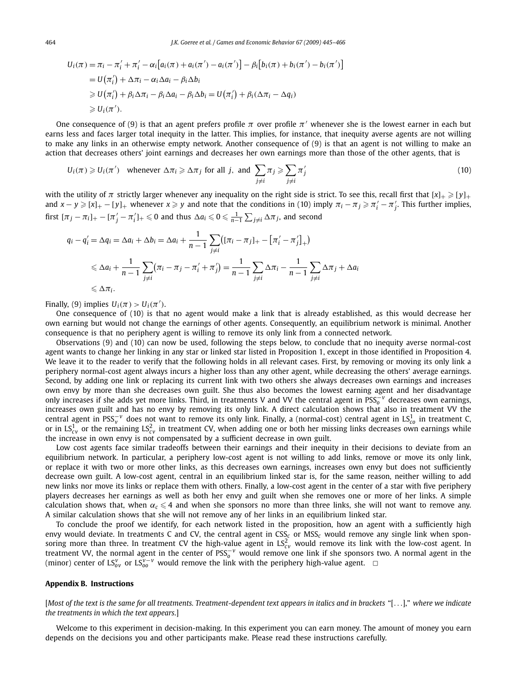$$
U_i(\pi) = \pi_i - \pi'_i + \pi'_i - \alpha_i [a_i(\pi) + a_i(\pi') - a_i(\pi')] - \beta_i [b_i(\pi) + b_i(\pi') - b_i(\pi')] = U(\pi'_i) + \Delta \pi_i - \alpha_i \Delta a_i - \beta_i \Delta b_i \ge U(\pi'_i) + \beta_i \Delta \pi_i - \beta_i \Delta a_i - \beta_i \Delta b_i = U(\pi'_i) + \beta_i (\Delta \pi_i - \Delta q_i) \ge U_i(\pi').
$$

One consequence of (9) is that an agent prefers profile  $\pi$  over profile  $\pi'$  whenever she is the lowest earner in each but earns less and faces larger total inequity in the latter. This implies, for instance, that inequity averse agents are not willing to make any links in an otherwise empty network. Another consequence of (9) is that an agent is not willing to make an action that decreases others' joint earnings and decreases her own earnings more than those of the other agents, that is

$$
U_i(\pi) \geq U_i(\pi') \quad \text{whenever } \Delta \pi_i \geq \Delta \pi_j \text{ for all } j, \text{ and } \sum_{j \neq i} \pi_j \geq \sum_{j \neq i} \pi'_j \tag{10}
$$

with the utility of  $\pi$  strictly larger whenever any inequality on the right side is strict. To see this, recall first that  $[x]_+\geqslant [y]_+$ and  $x - y \ge |x|_+ - [y]_+$  whenever  $x \ge y$  and note that the conditions in (10) imply  $\pi_i - \pi_j \ge \pi'_i - \pi'_j$ . This further implies,  $\int \int f(x) \, dx \, dx \leq 0$  and thus  $\Delta a_i \leqslant 0 \leqslant \frac{1}{n-1} \sum_{j \neq i} \Delta \pi_j$ , and second

$$
q_i - q'_i = \Delta q_i = \Delta a_i + \Delta b_i = \Delta a_i + \frac{1}{n-1} \sum_{j \neq i} \left( [\pi_i - \pi_j]_+ - [\pi'_i - \pi'_j]_+ \right)
$$
  
\$\leq \Delta a\_i + \frac{1}{n-1} \sum\_{j \neq i} (\pi\_i - \pi\_j - \pi'\_i + \pi'\_j) = \frac{1}{n-1} \sum\_{j \neq i} \Delta \pi\_i - \frac{1}{n-1} \sum\_{j \neq i} \Delta \pi\_j + \Delta a\_i\$  
\$\leq \Delta \pi\_i\$.

Finally, (9) implies  $U_i(\pi) > U_i(\pi')$ .

One consequence of (10) is that no agent would make a link that is already established, as this would decrease her own earning but would not change the earnings of other agents. Consequently, an equilibrium network is minimal. Another consequence is that no periphery agent is willing to remove its only link from a connected network.

Observations (9) and (10) can now be used, following the steps below, to conclude that no inequity averse normal-cost agent wants to change her linking in any star or linked star listed in Proposition 1, except in those identified in Proposition 4. We leave it to the reader to verify that the following holds in all relevant cases. First, by removing or moving its only link a periphery normal-cost agent always incurs a higher loss than any other agent, while decreasing the others' average earnings. Second, by adding one link or replacing its current link with two others she always decreases own earnings and increases own envy by more than she decreases own guilt. She thus also becomes the lowest earning agent and her disadvantage only increases if she adds yet more links. Third, in treatments V and VV the central agent in PSS−*<sup>v</sup> <sup>o</sup>* decreases own earnings, increases own guilt and has no envy by removing its only link. A direct calculation shows that also in treatment VV the *central agent in PSS*<sup>−*v*</sup> does not want to remove its only link. Finally, a (normal-cost) central agent in LS<sup>1</sup><sub>co</sub> in treatment C, or in LS<sub>cv</sub> or the remaining LS<sub>cv</sub> in treatment CV, when adding one or both her missing links decreases own earnings while the increase in own envy is not compensated by a sufficient decrease in own guilt.

Low cost agents face similar tradeoffs between their earnings and their inequity in their decisions to deviate from an equilibrium network. In particular, a periphery low-cost agent is not willing to add links, remove or move its only link, or replace it with two or more other links, as this decreases own earnings, increases own envy but does not sufficiently decrease own guilt. A low-cost agent, central in an equilibrium linked star is, for the same reason, neither willing to add new links nor move its links or replace them with others. Finally, a low-cost agent in the center of a star with five periphery players decreases her earnings as well as both her envy and guilt when she removes one or more of her links. A simple calculation shows that, when  $\alpha_c \leq 4$  and when she sponsors no more than three links, she will not want to remove any. A similar calculation shows that she will not remove any of her links in an equilibrium linked star.

To conclude the proof we identify, for each network listed in the proposition, how an agent with a sufficiently high envy would deviate. In treatments C and CV, the central agent in CSS*<sup>c</sup>* or MSS*<sup>c</sup>* would remove any single link when sponsoring more than three. In treatment CV the high-value agent in  $LS_{cv}^2$  would remove its link with the low-cost agent. In treatment VV, the normal agent in the center of PSS<sup>−*v*</sup> would remove one link if she sponsors two. A normal agent in the (minor) center of  $LS_{ov}^v$  or  $LS_{oo}^{v-v}$  would remove the link with the periphery high-value agent.  $\Box$ 

#### **Appendix B. Instructions**

[*Most of the text is the same for all treatments. Treatment-dependent text appears in italics and in brackets* "[*...*]," *where we indicate the treatments in which the text appears*.]

Welcome to this experiment in decision-making. In this experiment you can earn money. The amount of money you earn depends on the decisions you and other participants make. Please read these instructions carefully.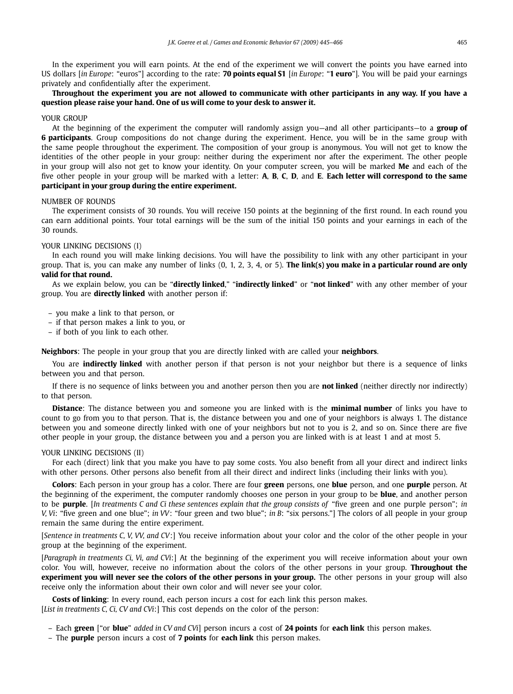In the experiment you will earn points. At the end of the experiment we will convert the points you have earned into US dollars [*in Europe*: "euros"] according to the rate: **70 points equal \$1** [*in Europe*: "**1 euro**"]. You will be paid your earnings privately and confidentially after the experiment.

#### **Throughout the experiment you are not allowed to communicate with other participants in any way. If you have a question please raise your hand. One of us will come to your desk to answer it.**

#### YOUR GROUP

At the beginning of the experiment the computer will randomly assign you—and all other participants—to a **group of 6 participants**. Group compositions do not change during the experiment. Hence, you will be in the same group with the same people throughout the experiment. The composition of your group is anonymous. You will not get to know the identities of the other people in your group: neither during the experiment nor after the experiment. The other people in your group will also not get to know your identity. On your computer screen, you will be marked **Me** and each of the five other people in your group will be marked with a letter: **A**, **B**, **C**, **D**, and **E**. **Each letter will correspond to the same participant in your group during the entire experiment.**

#### NUMBER OF ROUNDS

The experiment consists of 30 rounds. You will receive 150 points at the beginning of the first round. In each round you can earn additional points. Your total earnings will be the sum of the initial 150 points and your earnings in each of the 30 rounds.

#### YOUR LINKING DECISIONS (I)

In each round you will make linking decisions. You will have the possibility to link with any other participant in your group. That is, you can make any number of links (0, 1, 2, 3, 4, or 5). **The link(s) you make in a particular round are only valid for that round.**

As we explain below, you can be "**directly linked**," "**indirectly linked**" or "**not linked**" with any other member of your group. You are **directly linked** with another person if:

- you make a link to that person, or
- if that person makes a link to you, or
- if both of you link to each other.

**Neighbors**: The people in your group that you are directly linked with are called your **neighbors**.

You are **indirectly linked** with another person if that person is not your neighbor but there is a sequence of links between you and that person.

If there is no sequence of links between you and another person then you are **not linked** (neither directly nor indirectly) to that person.

**Distance**: The distance between you and someone you are linked with is the **minimal number** of links you have to count to go from you to that person. That is, the distance between you and one of your neighbors is always 1. The distance between you and someone directly linked with one of your neighbors but not to you is 2, and so on. Since there are five other people in your group, the distance between you and a person you are linked with is at least 1 and at most 5.

#### YOUR LINKING DECISIONS (II)

For each (direct) link that you make you have to pay some costs. You also benefit from all your direct and indirect links with other persons. Other persons also benefit from all their direct and indirect links (including their links with you).

**Colors**: Each person in your group has a color. There are four **green** persons, one **blue** person, and one **purple** person. At the beginning of the experiment, the computer randomly chooses one person in your group to be **blue**, and another person to be **purple**. [*In treatments C and Ci these sentences explain that the group consists of* "five green and one purple person"; *in V, Vi*: "five green and one blue"; *in VV*: "four green and two blue"; *in B*: "six persons."] The colors of all people in your group remain the same during the entire experiment.

[*Sentence in treatments C, V, VV, and CV*:] You receive information about your color and the color of the other people in your group at the beginning of the experiment.

[*Paragraph in treatments Ci, Vi, and CVi*:] At the beginning of the experiment you will receive information about your own color. You will, however, receive no information about the colors of the other persons in your group. **Throughout the experiment you will never see the colors of the other persons in your group.** The other persons in your group will also receive only the information about their own color and will never see your color.

**Costs of linking**: In every round, each person incurs a cost for each link this person makes.

[*List in treatments C, Ci, CV and CVi*:] This cost depends on the color of the person:

- Each **green** ["or **blue**" *added in CV and CVi*] person incurs a cost of **24 points** for **each link** this person makes.
- The **purple** person incurs a cost of **7 points** for **each link** this person makes.